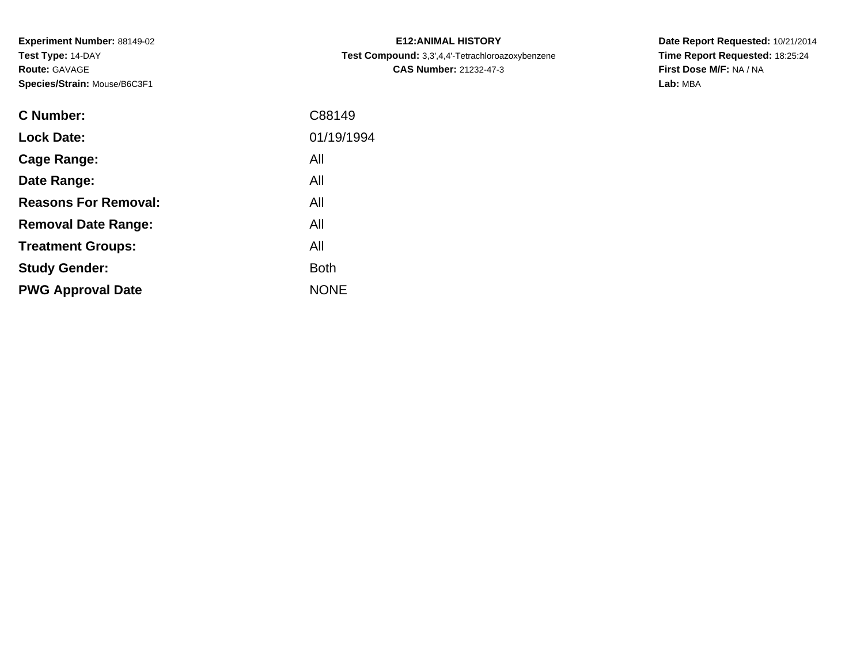**Experiment Number:** 88149-02**Test Type:** 14-DAY**Route:** GAVAGE**Species/Strain:** Mouse/B6C3F1

| <b>C Number:</b>            | C88149      |
|-----------------------------|-------------|
| <b>Lock Date:</b>           | 01/19/1994  |
| <b>Cage Range:</b>          | All         |
| Date Range:                 | All         |
| <b>Reasons For Removal:</b> | All         |
| <b>Removal Date Range:</b>  | All         |
| <b>Treatment Groups:</b>    | All         |
| <b>Study Gender:</b>        | <b>Both</b> |
| <b>PWG Approval Date</b>    | <b>NONE</b> |
|                             |             |

**E12:ANIMAL HISTORY Test Compound:** 3,3',4,4'-Tetrachloroazoxybenzene**CAS Number:** 21232-47-3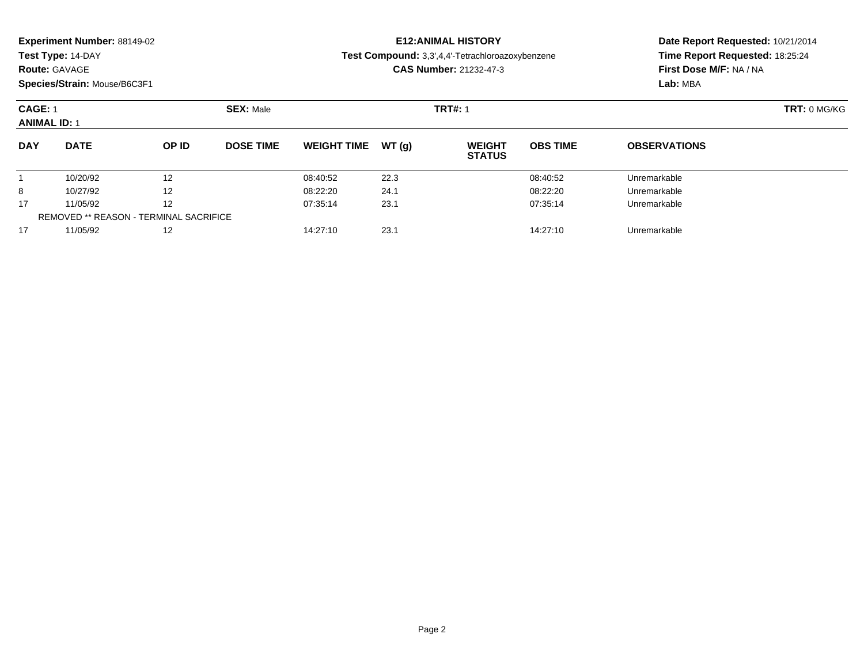**Test Type:** 14-DAY

## **Route:** GAVAGE

**Species/Strain:** Mouse/B6C3F1

# **E12:ANIMAL HISTORY**

**Test Compound:** 3,3',4,4'-Tetrachloroazoxybenzene

**CAS Number:** 21232-47-3

| <b>CAGE: 1</b><br><b>ANIMAL ID: 1</b> |                                        |                   | <b>SEX: Male</b> |                    |       |                                | <b>TRT#: 1</b>  |                     |  |  |
|---------------------------------------|----------------------------------------|-------------------|------------------|--------------------|-------|--------------------------------|-----------------|---------------------|--|--|
| <b>DAY</b>                            | <b>DATE</b>                            | OP ID             | <b>DOSE TIME</b> | <b>WEIGHT TIME</b> | WT(q) | <b>WEIGHT</b><br><b>STATUS</b> | <b>OBS TIME</b> | <b>OBSERVATIONS</b> |  |  |
|                                       | 10/20/92                               | 12                |                  | 08:40:52           | 22.3  |                                | 08:40:52        | Unremarkable        |  |  |
| 8                                     | 10/27/92                               | $12 \overline{ }$ |                  | 08:22:20           | 24.1  |                                | 08:22:20        | Unremarkable        |  |  |
| 17                                    | 11/05/92                               | 12                |                  | 07:35:14           | 23.1  |                                | 07:35:14        | Unremarkable        |  |  |
|                                       | REMOVED ** REASON - TERMINAL SACRIFICE |                   |                  |                    |       |                                |                 |                     |  |  |
| 17                                    | 11/05/92                               | 12                |                  | 14:27:10           | 23.1  |                                | 14:27:10        | Unremarkable        |  |  |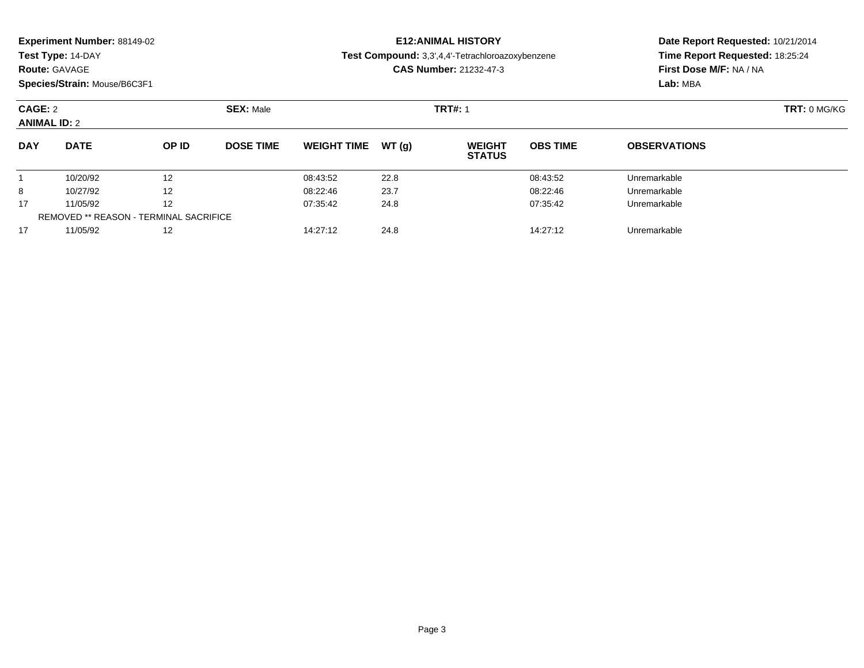**Test Type:** 14-DAY

### **Route:** GAVAGE

**Species/Strain:** Mouse/B6C3F1

# **E12:ANIMAL HISTORY**

**Test Compound:** 3,3',4,4'-Tetrachloroazoxybenzene

**CAS Number:** 21232-47-3

| CAGE: 2<br><b>ANIMAL ID: 2</b> |                                               |              | <b>SEX: Male</b> |                    |       |                                | <b>TRT#: 1</b>  |                     |  |  |
|--------------------------------|-----------------------------------------------|--------------|------------------|--------------------|-------|--------------------------------|-----------------|---------------------|--|--|
| <b>DAY</b>                     | <b>DATE</b>                                   | <b>OP ID</b> | <b>DOSE TIME</b> | <b>WEIGHT TIME</b> | WT(q) | <b>WEIGHT</b><br><b>STATUS</b> | <b>OBS TIME</b> | <b>OBSERVATIONS</b> |  |  |
|                                | 10/20/92                                      | 12           |                  | 08:43:52           | 22.8  |                                | 08:43:52        | Unremarkable        |  |  |
| 8                              | 10/27/92                                      | 12           |                  | 08:22:46           | 23.7  |                                | 08:22:46        | Unremarkable        |  |  |
| 17                             | 11/05/92                                      | 12           |                  | 07:35:42           | 24.8  |                                | 07:35:42        | Unremarkable        |  |  |
|                                | <b>REMOVED ** REASON - TERMINAL SACRIFICE</b> |              |                  |                    |       |                                |                 |                     |  |  |
| 17                             | 11/05/92                                      | 12           |                  | 14:27:12           | 24.8  |                                | 14:27:12        | Unremarkable        |  |  |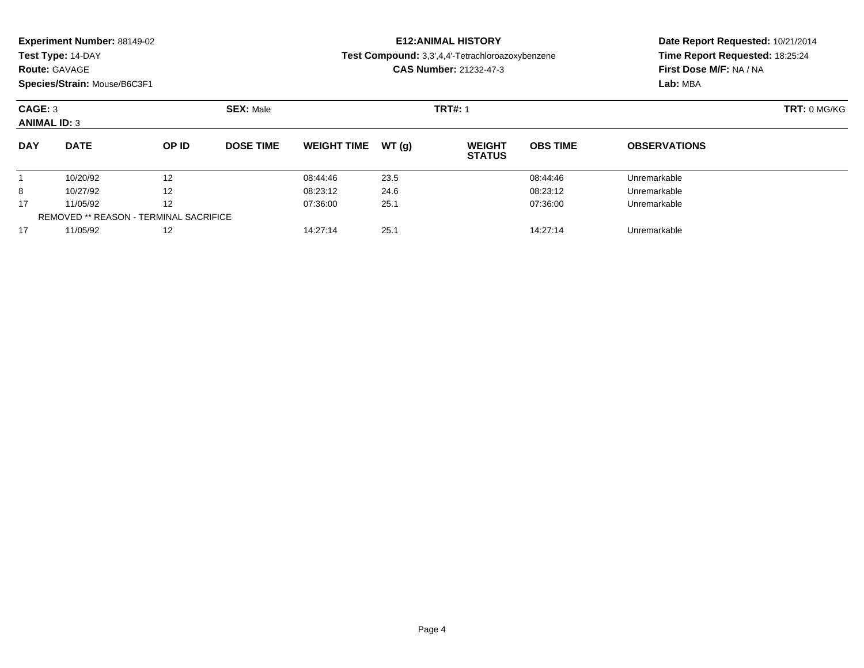**Test Type:** 14-DAY

### **Route:** GAVAGE

**Species/Strain:** Mouse/B6C3F1

# **E12:ANIMAL HISTORY**

**Test Compound:** 3,3',4,4'-Tetrachloroazoxybenzene

**CAS Number:** 21232-47-3

| CAGE: 3<br><b>ANIMAL ID: 3</b> |                                        |                   | <b>SEX: Male</b> |                    |       | <b>TRT#: 1</b>                 | TRT: 0 MG/KG    |                     |  |
|--------------------------------|----------------------------------------|-------------------|------------------|--------------------|-------|--------------------------------|-----------------|---------------------|--|
| <b>DAY</b>                     | <b>DATE</b>                            | OP ID             | <b>DOSE TIME</b> | <b>WEIGHT TIME</b> | WT(q) | <b>WEIGHT</b><br><b>STATUS</b> | <b>OBS TIME</b> | <b>OBSERVATIONS</b> |  |
|                                | 10/20/92                               | 12                |                  | 08:44:46           | 23.5  |                                | 08:44:46        | Unremarkable        |  |
| 8                              | 10/27/92                               | $12 \overline{ }$ |                  | 08:23:12           | 24.6  |                                | 08:23:12        | Unremarkable        |  |
| 17                             | 11/05/92                               | 12                |                  | 07:36:00           | 25.1  |                                | 07:36:00        | Unremarkable        |  |
|                                | REMOVED ** REASON - TERMINAL SACRIFICE |                   |                  |                    |       |                                |                 |                     |  |
| 17                             | 11/05/92                               | 12                |                  | 14:27:14           | 25.1  |                                | 14:27:14        | Unremarkable        |  |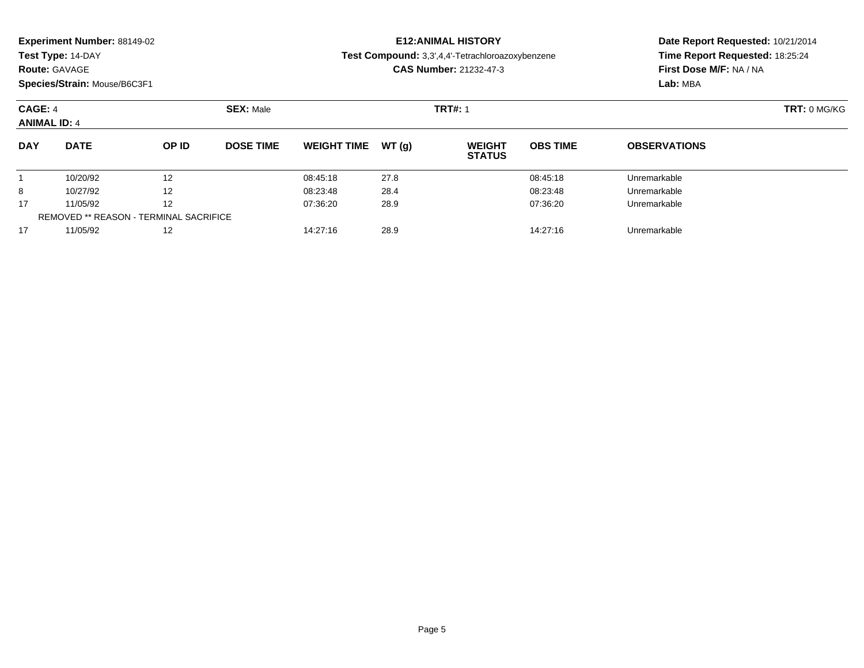**Test Type:** 14-DAY

### **Route:** GAVAGE

**Species/Strain:** Mouse/B6C3F1

# **E12:ANIMAL HISTORY**

**Test Compound:** 3,3',4,4'-Tetrachloroazoxybenzene

**CAS Number:** 21232-47-3

| CAGE: 4<br><b>ANIMAL ID: 4</b> |                                        |                   | <b>SEX: Male</b> |                    |       |                                | <b>TRT#: 1</b>  |                     |  |  |
|--------------------------------|----------------------------------------|-------------------|------------------|--------------------|-------|--------------------------------|-----------------|---------------------|--|--|
| <b>DAY</b>                     | <b>DATE</b>                            | OP ID             | <b>DOSE TIME</b> | <b>WEIGHT TIME</b> | WT(q) | <b>WEIGHT</b><br><b>STATUS</b> | <b>OBS TIME</b> | <b>OBSERVATIONS</b> |  |  |
|                                | 10/20/92                               | 12                |                  | 08:45:18           | 27.8  |                                | 08:45:18        | Unremarkable        |  |  |
| 8                              | 10/27/92                               | $12 \overline{ }$ |                  | 08:23:48           | 28.4  |                                | 08:23:48        | Unremarkable        |  |  |
| 17                             | 11/05/92                               | 12                |                  | 07:36:20           | 28.9  |                                | 07:36:20        | Unremarkable        |  |  |
|                                | REMOVED ** REASON - TERMINAL SACRIFICE |                   |                  |                    |       |                                |                 |                     |  |  |
| 17                             | 11/05/92                               | 12                |                  | 14:27:16           | 28.9  |                                | 14:27:16        | Unremarkable        |  |  |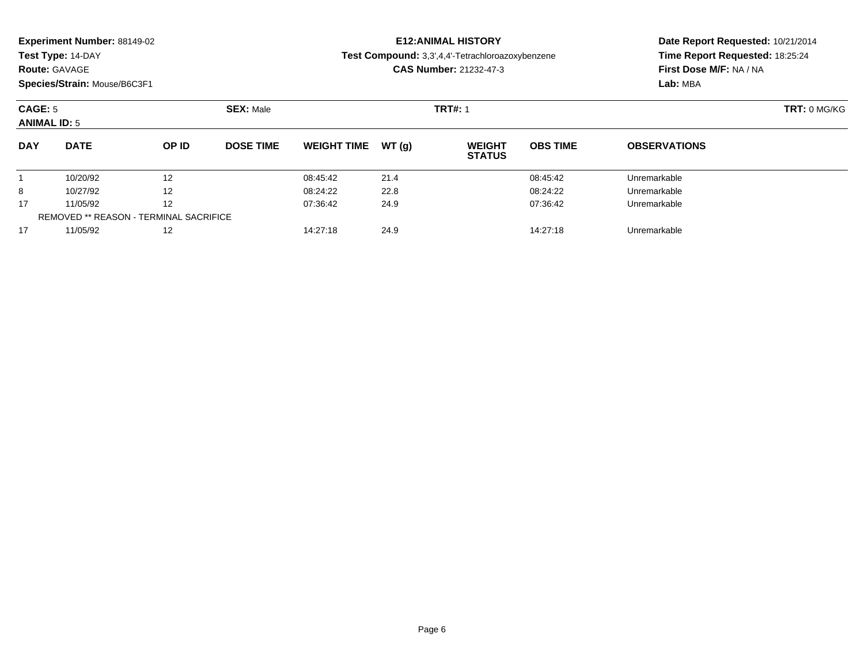**Test Type:** 14-DAY

## **Route:** GAVAGE

**Species/Strain:** Mouse/B6C3F1

# **E12:ANIMAL HISTORY**

**Test Compound:** 3,3',4,4'-Tetrachloroazoxybenzene

**CAS Number:** 21232-47-3

| CAGE: 5<br><b>ANIMAL ID: 5</b> |                                        |                   | <b>SEX: Male</b> |                    |       | <b>TRT#: 1</b>                 | TRT: 0 MG/KG    |                     |  |
|--------------------------------|----------------------------------------|-------------------|------------------|--------------------|-------|--------------------------------|-----------------|---------------------|--|
| <b>DAY</b>                     | <b>DATE</b>                            | OP ID             | <b>DOSE TIME</b> | <b>WEIGHT TIME</b> | WT(q) | <b>WEIGHT</b><br><b>STATUS</b> | <b>OBS TIME</b> | <b>OBSERVATIONS</b> |  |
|                                | 10/20/92                               | 12                |                  | 08:45:42           | 21.4  |                                | 08:45:42        | Unremarkable        |  |
| 8                              | 10/27/92                               | $12 \overline{ }$ |                  | 08:24:22           | 22.8  |                                | 08:24:22        | Unremarkable        |  |
| 17                             | 11/05/92                               | 12                |                  | 07:36:42           | 24.9  |                                | 07:36:42        | Unremarkable        |  |
|                                | REMOVED ** REASON - TERMINAL SACRIFICE |                   |                  |                    |       |                                |                 |                     |  |
| 17                             | 11/05/92                               | 12                |                  | 14:27:18           | 24.9  |                                | 14:27:18        | Unremarkable        |  |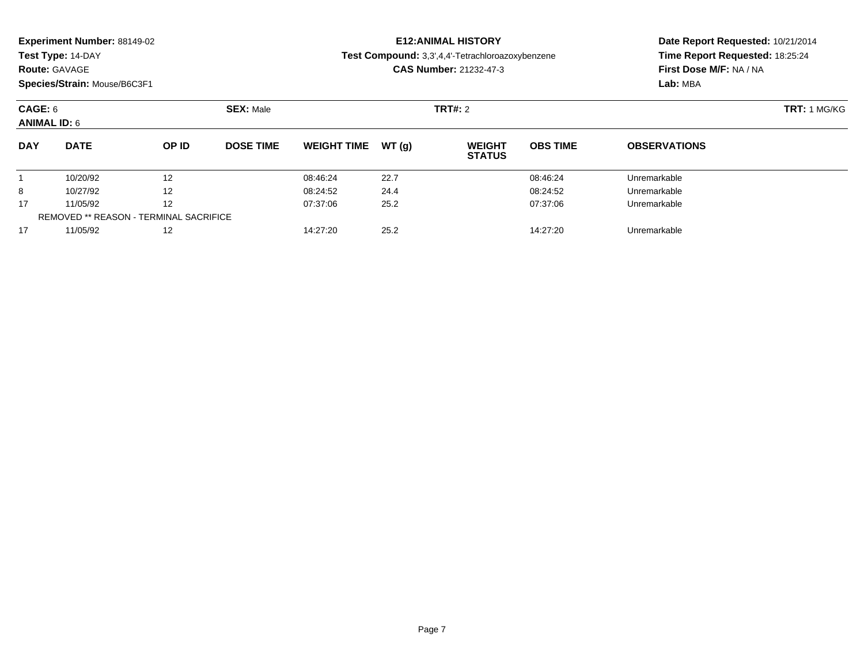| <b>Experiment Number: 88149-02</b> |  |  |
|------------------------------------|--|--|
|------------------------------------|--|--|

# **Route:** GAVAGE

**Species/Strain:** Mouse/B6C3F1

# **E12:ANIMAL HISTORY**

**Test Compound:** 3,3',4,4'-Tetrachloroazoxybenzene

**CAS Number:** 21232-47-3

| CAGE: 6<br><b>ANIMAL ID: 6</b> |                                        |                   | <b>SEX: Male</b> |                    |       |                                | <b>TRT#: 2</b>  |                     |  |  |
|--------------------------------|----------------------------------------|-------------------|------------------|--------------------|-------|--------------------------------|-----------------|---------------------|--|--|
| <b>DAY</b>                     | <b>DATE</b>                            | OP ID             | <b>DOSE TIME</b> | <b>WEIGHT TIME</b> | WT(q) | <b>WEIGHT</b><br><b>STATUS</b> | <b>OBS TIME</b> | <b>OBSERVATIONS</b> |  |  |
|                                | 10/20/92                               | 12                |                  | 08:46:24           | 22.7  |                                | 08:46:24        | Unremarkable        |  |  |
| 8                              | 10/27/92                               | $12 \overline{ }$ |                  | 08:24:52           | 24.4  |                                | 08:24:52        | Unremarkable        |  |  |
| 17                             | 11/05/92                               | 12                |                  | 07:37:06           | 25.2  |                                | 07:37:06        | Unremarkable        |  |  |
|                                | REMOVED ** REASON - TERMINAL SACRIFICE |                   |                  |                    |       |                                |                 |                     |  |  |
| 17                             | 11/05/92                               | 12                |                  | 14:27:20           | 25.2  |                                | 14:27:20        | Unremarkable        |  |  |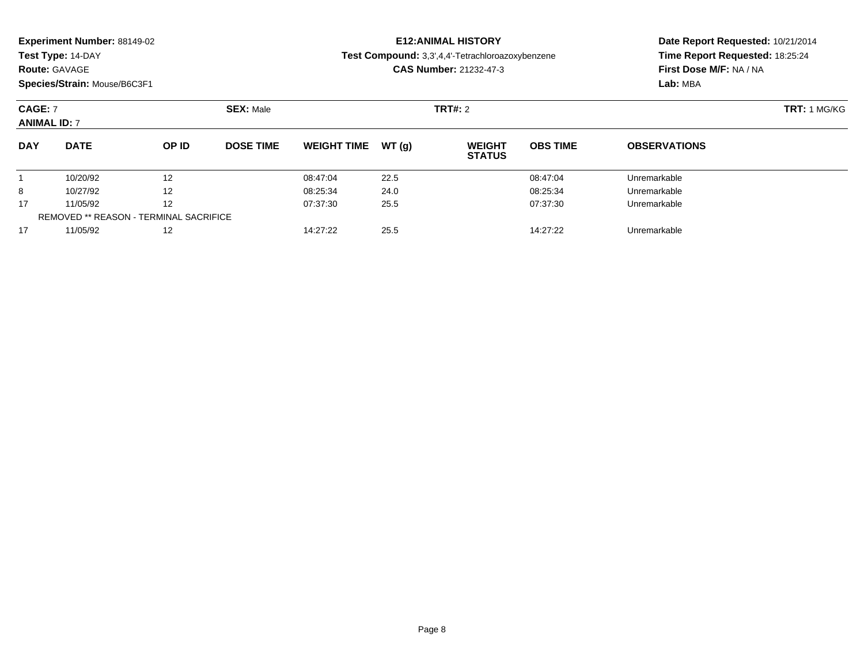|  |  | Experiment Number: 88149-02 |  |
|--|--|-----------------------------|--|
|--|--|-----------------------------|--|

## **Route:** GAVAGE

**Species/Strain:** Mouse/B6C3F1

# **E12:ANIMAL HISTORY**

**Test Compound:** 3,3',4,4'-Tetrachloroazoxybenzene

**CAS Number:** 21232-47-3

| <b>CAGE: 7</b><br><b>ANIMAL ID: 7</b> |                                               |       | <b>SEX: Male</b> |                    |        |                                | <b>TRT#: 2</b>  |                     |  |  |
|---------------------------------------|-----------------------------------------------|-------|------------------|--------------------|--------|--------------------------------|-----------------|---------------------|--|--|
| <b>DAY</b>                            | <b>DATE</b>                                   | OP ID | <b>DOSE TIME</b> | <b>WEIGHT TIME</b> | WT (a) | <b>WEIGHT</b><br><b>STATUS</b> | <b>OBS TIME</b> | <b>OBSERVATIONS</b> |  |  |
|                                       | 10/20/92                                      | 12    |                  | 08:47:04           | 22.5   |                                | 08:47:04        | Unremarkable        |  |  |
| 8                                     | 10/27/92                                      | 12    |                  | 08:25:34           | 24.0   |                                | 08:25:34        | Unremarkable        |  |  |
| 17                                    | 11/05/92                                      | 12    |                  | 07:37:30           | 25.5   |                                | 07:37:30        | Unremarkable        |  |  |
|                                       | <b>REMOVED ** REASON - TERMINAL SACRIFICE</b> |       |                  |                    |        |                                |                 |                     |  |  |
| 17                                    | 11/05/92                                      | 12    |                  | 14:27:22           | 25.5   |                                | 14:27:22        | Unremarkable        |  |  |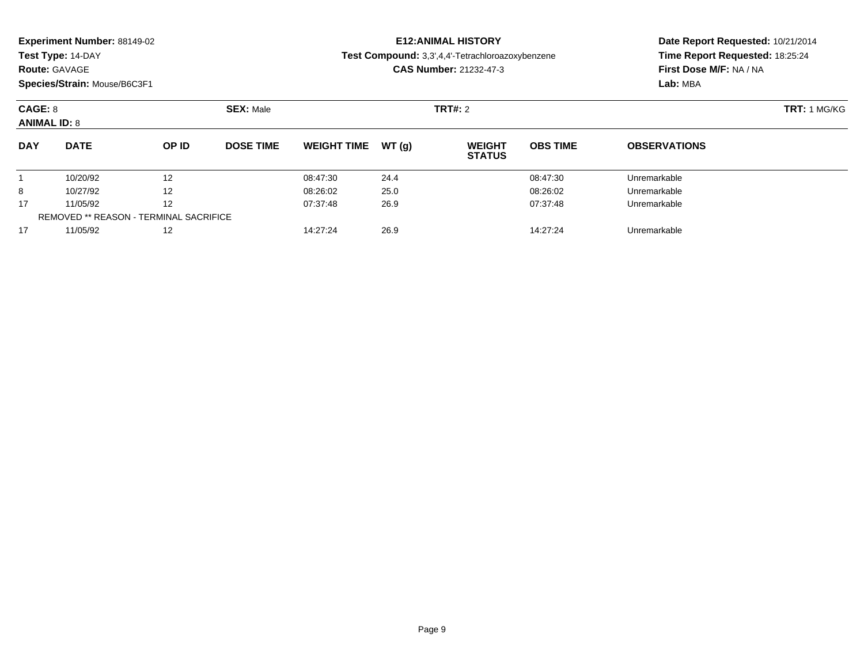| <b>Experiment Number: 88149-02</b> |  |  |
|------------------------------------|--|--|
|------------------------------------|--|--|

## **Route:** GAVAGE

**Species/Strain:** Mouse/B6C3F1

# **E12:ANIMAL HISTORY**

**Test Compound:** 3,3',4,4'-Tetrachloroazoxybenzene

**CAS Number:** 21232-47-3

| CAGE: 8<br><b>ANIMAL ID: 8</b> |                                        |                   | <b>SEX: Male</b> |                    |       |                                | <b>TRT#: 2</b>  |                     |  |  |
|--------------------------------|----------------------------------------|-------------------|------------------|--------------------|-------|--------------------------------|-----------------|---------------------|--|--|
| <b>DAY</b>                     | <b>DATE</b>                            | OP ID             | <b>DOSE TIME</b> | <b>WEIGHT TIME</b> | WT(q) | <b>WEIGHT</b><br><b>STATUS</b> | <b>OBS TIME</b> | <b>OBSERVATIONS</b> |  |  |
|                                | 10/20/92                               | 12                |                  | 08:47:30           | 24.4  |                                | 08:47:30        | Unremarkable        |  |  |
| 8                              | 10/27/92                               | $12 \overline{ }$ |                  | 08:26:02           | 25.0  |                                | 08:26:02        | Unremarkable        |  |  |
| 17                             | 11/05/92                               | 12                |                  | 07:37:48           | 26.9  |                                | 07:37:48        | Unremarkable        |  |  |
|                                | REMOVED ** REASON - TERMINAL SACRIFICE |                   |                  |                    |       |                                |                 |                     |  |  |
| 17                             | 11/05/92                               | 12                |                  | 14:27:24           | 26.9  |                                | 14:27:24        | Unremarkable        |  |  |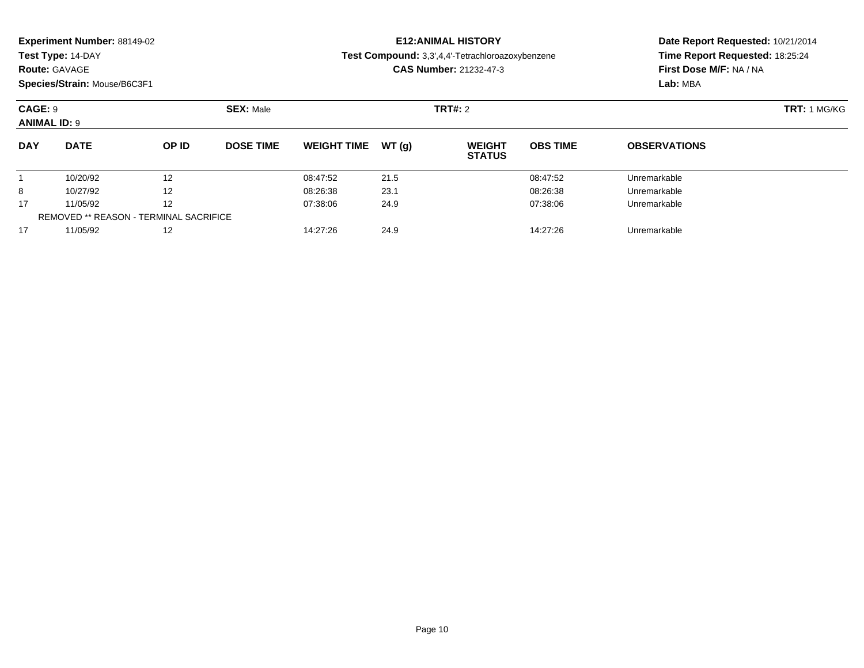|  |  | Experiment Number: 88149-02 |  |
|--|--|-----------------------------|--|
|--|--|-----------------------------|--|

#### **Route:** GAVAGE

**Species/Strain:** Mouse/B6C3F1

## **E12:ANIMAL HISTORY**

**Test Compound:** 3,3',4,4'-Tetrachloroazoxybenzene

**CAS Number:** 21232-47-3

| CAGE: 9<br><b>ANIMAL ID: 9</b> |                                        |                   | <b>SEX: Male</b> |                    |       | <b>TRT#: 2</b>                 |                 |                     | <b>TRT: 1 MG/KG</b> |
|--------------------------------|----------------------------------------|-------------------|------------------|--------------------|-------|--------------------------------|-----------------|---------------------|---------------------|
| <b>DAY</b>                     | <b>DATE</b>                            | OP ID             | <b>DOSE TIME</b> | <b>WEIGHT TIME</b> | WT(q) | <b>WEIGHT</b><br><b>STATUS</b> | <b>OBS TIME</b> | <b>OBSERVATIONS</b> |                     |
|                                | 10/20/92                               | 12                |                  | 08:47:52           | 21.5  |                                | 08:47:52        | Unremarkable        |                     |
| 8                              | 10/27/92                               | $12 \overline{ }$ |                  | 08:26:38           | 23.1  |                                | 08:26:38        | Unremarkable        |                     |
| 17                             | 11/05/92                               | 12                |                  | 07:38:06           | 24.9  |                                | 07:38:06        | Unremarkable        |                     |
|                                | REMOVED ** REASON - TERMINAL SACRIFICE |                   |                  |                    |       |                                |                 |                     |                     |
| 17                             | 11/05/92                               | 12                |                  | 14:27:26           | 24.9  |                                | 14:27:26        | Unremarkable        |                     |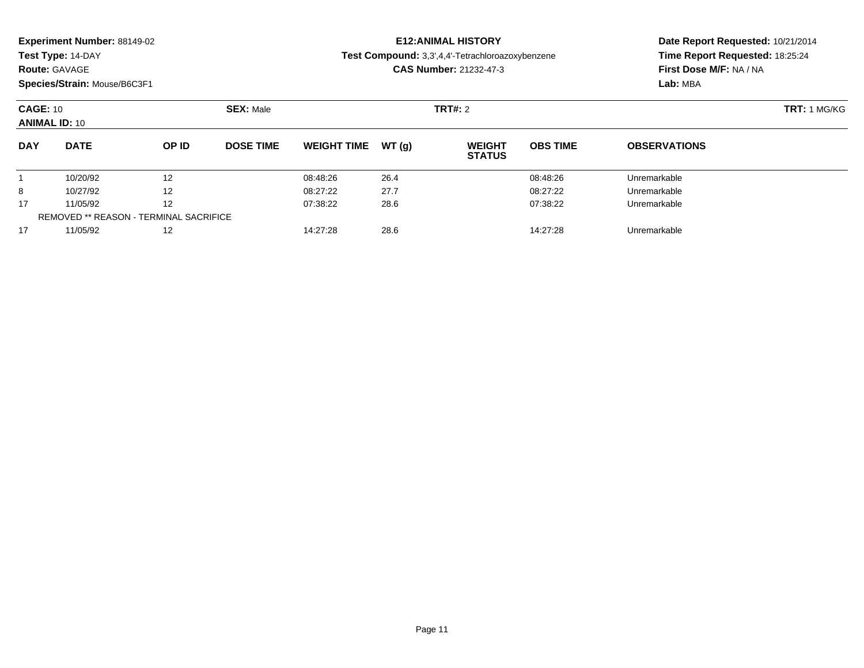|  |  | Experiment Number: 88149-02 |  |
|--|--|-----------------------------|--|
|--|--|-----------------------------|--|

#### **Route:** GAVAGE

**Species/Strain:** Mouse/B6C3F1

# **E12:ANIMAL HISTORY**

**Test Compound:** 3,3',4,4'-Tetrachloroazoxybenzene

**CAS Number:** 21232-47-3

| <b>CAGE: 10</b><br><b>ANIMAL ID: 10</b> |                                               |              | <b>SEX: Male</b> |                    |       | TRT#: 2                        |                 |                     | <b>TRT:</b> 1 MG/KG |
|-----------------------------------------|-----------------------------------------------|--------------|------------------|--------------------|-------|--------------------------------|-----------------|---------------------|---------------------|
| <b>DAY</b>                              | <b>DATE</b>                                   | <b>OP ID</b> | <b>DOSE TIME</b> | <b>WEIGHT TIME</b> | WT(a) | <b>WEIGHT</b><br><b>STATUS</b> | <b>OBS TIME</b> | <b>OBSERVATIONS</b> |                     |
|                                         | 10/20/92                                      | 12           |                  | 08:48:26           | 26.4  |                                | 08:48:26        | Unremarkable        |                     |
| 8                                       | 10/27/92                                      | 12           |                  | 08:27:22           | 27.7  |                                | 08:27:22        | Unremarkable        |                     |
| 17                                      | 11/05/92                                      | 12           |                  | 07:38:22           | 28.6  |                                | 07:38:22        | Unremarkable        |                     |
|                                         | <b>REMOVED ** REASON - TERMINAL SACRIFICE</b> |              |                  |                    |       |                                |                 |                     |                     |
| 17                                      | 11/05/92                                      | 12           |                  | 14:27:28           | 28.6  |                                | 14:27:28        | Unremarkable        |                     |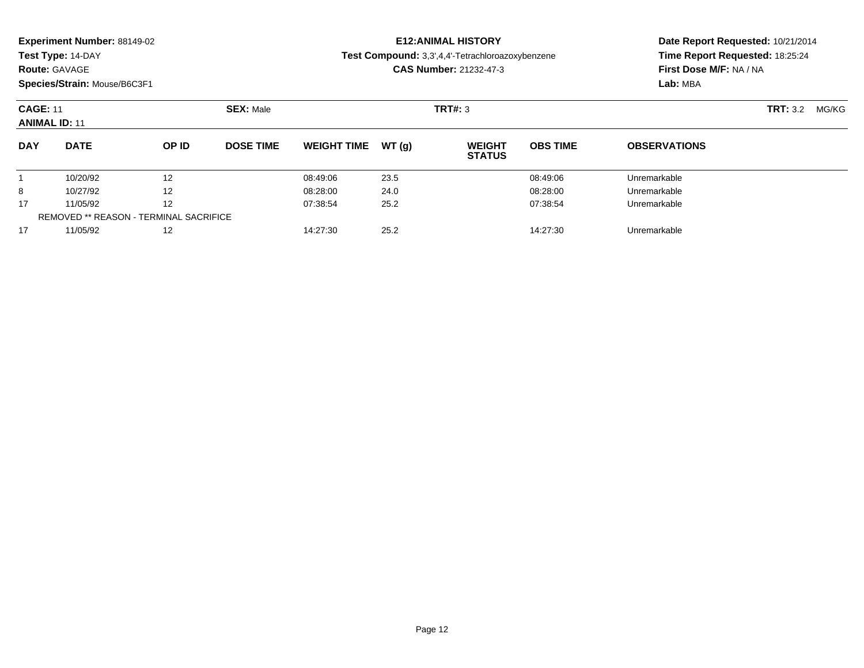#### **Route:** GAVAGE

**Species/Strain:** Mouse/B6C3F1

# **E12:ANIMAL HISTORY**

**Test Compound:** 3,3',4,4'-Tetrachloroazoxybenzene

**CAS Number:** 21232-47-3

| <b>CAGE: 11</b><br><b>ANIMAL ID: 11</b> |                                               |       | <b>SEX: Male</b> |                    |        | TRT#: 3                        |                 | <b>TRT:</b> 3.2<br>MG/KG |  |  |
|-----------------------------------------|-----------------------------------------------|-------|------------------|--------------------|--------|--------------------------------|-----------------|--------------------------|--|--|
| <b>DAY</b>                              | <b>DATE</b>                                   | OP ID | <b>DOSE TIME</b> | <b>WEIGHT TIME</b> | WT (q) | <b>WEIGHT</b><br><b>STATUS</b> | <b>OBS TIME</b> | <b>OBSERVATIONS</b>      |  |  |
|                                         | 10/20/92                                      | 12    |                  | 08:49:06           | 23.5   |                                | 08:49:06        | Unremarkable             |  |  |
| 8                                       | 10/27/92                                      | 12    |                  | 08:28:00           | 24.0   |                                | 08:28:00        | Unremarkable             |  |  |
| 17                                      | 11/05/92                                      | 12    |                  | 07:38:54           | 25.2   |                                | 07:38:54        | Unremarkable             |  |  |
|                                         | <b>REMOVED ** REASON - TERMINAL SACRIFICE</b> |       |                  |                    |        |                                |                 |                          |  |  |
| 17                                      | 11/05/92                                      | 12    |                  | 14:27:30           | 25.2   |                                | 14:27:30        | Unremarkable             |  |  |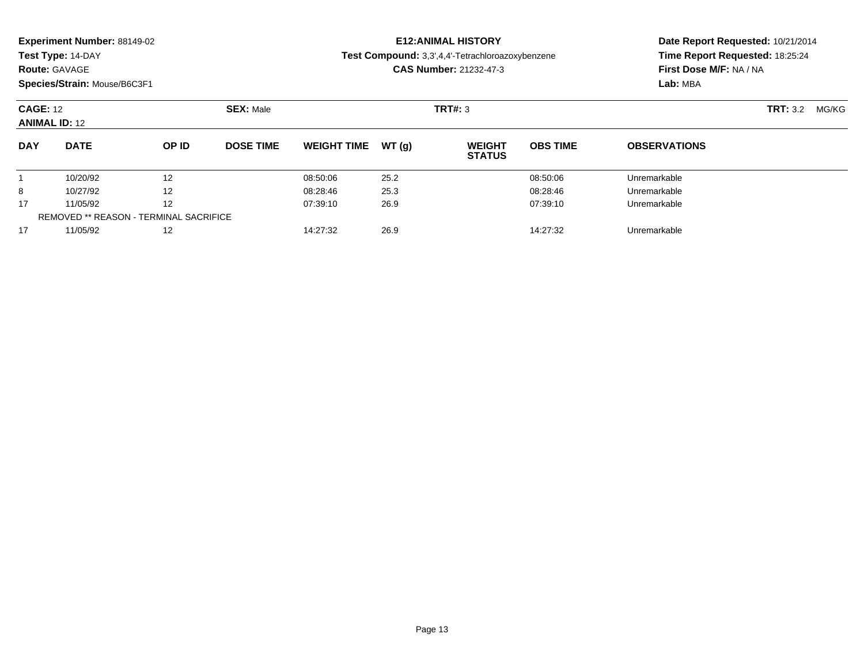|  |  | Experiment Number: 88149-02 |  |
|--|--|-----------------------------|--|
|--|--|-----------------------------|--|

#### **Route:** GAVAGE

**Species/Strain:** Mouse/B6C3F1

# **E12:ANIMAL HISTORY**

**Test Compound:** 3,3',4,4'-Tetrachloroazoxybenzene

**CAS Number:** 21232-47-3

| <b>CAGE: 12</b><br><b>ANIMAL ID: 12</b> |                                               |       | <b>SEX: Male</b> |                    | TRT#: 3 |                                |                 |                     | <b>TRT:</b> 3.2 | MG/KG |
|-----------------------------------------|-----------------------------------------------|-------|------------------|--------------------|---------|--------------------------------|-----------------|---------------------|-----------------|-------|
| <b>DAY</b>                              | <b>DATE</b>                                   | OP ID | <b>DOSE TIME</b> | <b>WEIGHT TIME</b> | WT(g)   | <b>WEIGHT</b><br><b>STATUS</b> | <b>OBS TIME</b> | <b>OBSERVATIONS</b> |                 |       |
|                                         | 10/20/92                                      | 12    |                  | 08:50:06           | 25.2    |                                | 08:50:06        | Unremarkable        |                 |       |
| 8                                       | 10/27/92                                      | 12    |                  | 08:28:46           | 25.3    |                                | 08:28:46        | Unremarkable        |                 |       |
| 17                                      | 11/05/92                                      | 12    |                  | 07:39:10           | 26.9    |                                | 07:39:10        | Unremarkable        |                 |       |
|                                         | <b>REMOVED ** REASON - TERMINAL SACRIFICE</b> |       |                  |                    |         |                                |                 |                     |                 |       |
| 17                                      | 11/05/92                                      | 12    |                  | 14:27:32           | 26.9    |                                | 14:27:32        | Unremarkable        |                 |       |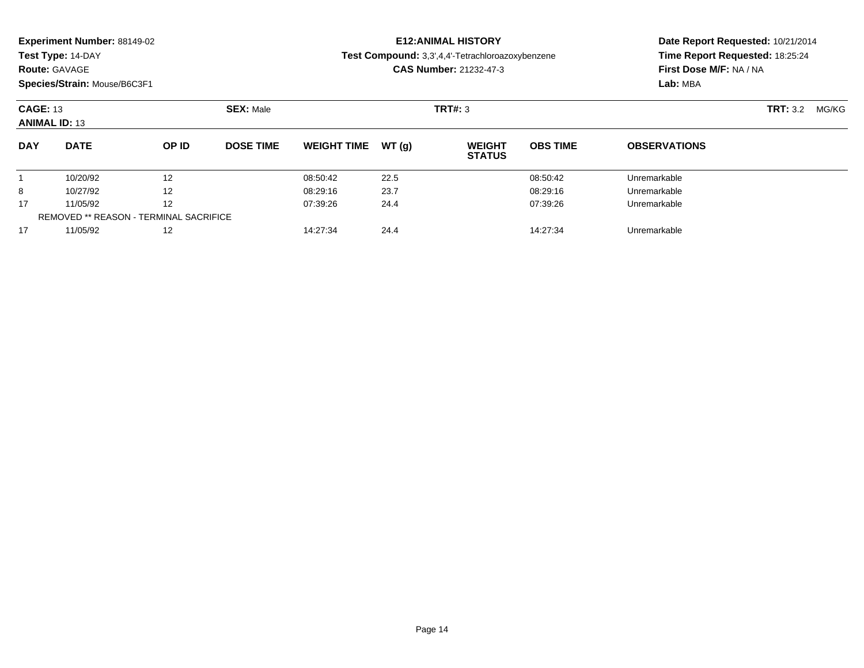| Experiment Number: 88149-02 |  |  |
|-----------------------------|--|--|
|-----------------------------|--|--|

## **Route:** GAVAGE

**Species/Strain:** Mouse/B6C3F1

# **E12:ANIMAL HISTORY**

**Test Compound:** 3,3',4,4'-Tetrachloroazoxybenzene

**CAS Number:** 21232-47-3

| <b>CAGE: 13</b><br><b>ANIMAL ID: 13</b> |                                               |       | <b>SEX: Male</b> |                    | <b>TRT#: 3</b> |                                |                 |                     | <b>TRT:</b> 3.2 | MG/KG |
|-----------------------------------------|-----------------------------------------------|-------|------------------|--------------------|----------------|--------------------------------|-----------------|---------------------|-----------------|-------|
| <b>DAY</b>                              | <b>DATE</b>                                   | OP ID | <b>DOSE TIME</b> | <b>WEIGHT TIME</b> | WT (a)         | <b>WEIGHT</b><br><b>STATUS</b> | <b>OBS TIME</b> | <b>OBSERVATIONS</b> |                 |       |
|                                         | 10/20/92                                      | 12    |                  | 08:50:42           | 22.5           |                                | 08:50:42        | Unremarkable        |                 |       |
| 8                                       | 10/27/92                                      | 12    |                  | 08:29:16           | 23.7           |                                | 08:29:16        | Unremarkable        |                 |       |
| 17                                      | 11/05/92                                      | 12    |                  | 07:39:26           | 24.4           |                                | 07:39:26        | Unremarkable        |                 |       |
|                                         | <b>REMOVED ** REASON - TERMINAL SACRIFICE</b> |       |                  |                    |                |                                |                 |                     |                 |       |
| 17                                      | 11/05/92                                      | 12    |                  | 14:27:34           | 24.4           |                                | 14:27:34        | Unremarkable        |                 |       |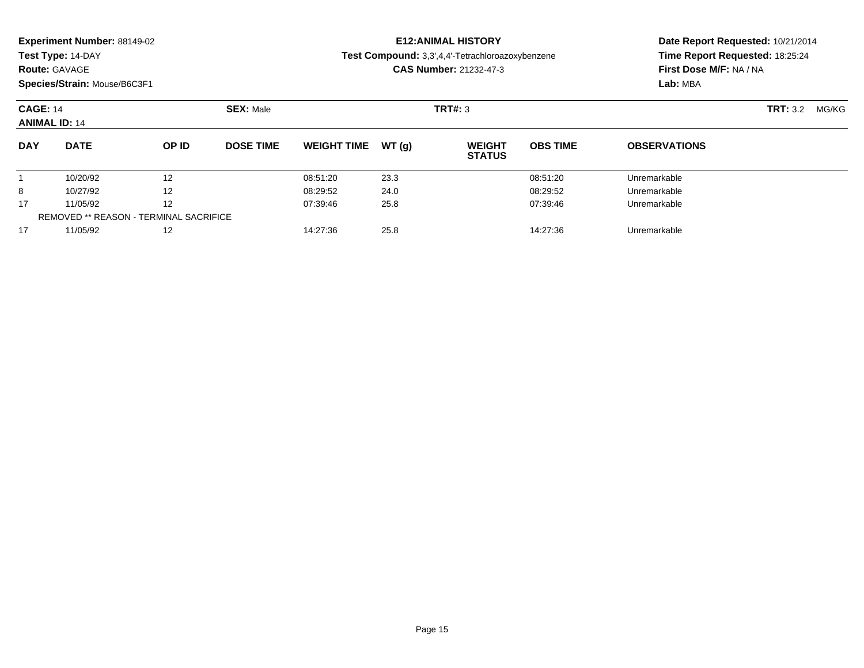|  |  | Experiment Number: 88149-02 |  |
|--|--|-----------------------------|--|
|--|--|-----------------------------|--|

#### **Route:** GAVAGE

**Species/Strain:** Mouse/B6C3F1

# **E12:ANIMAL HISTORY**

**Test Compound:** 3,3',4,4'-Tetrachloroazoxybenzene

**CAS Number:** 21232-47-3

| <b>CAGE: 14</b><br><b>ANIMAL ID: 14</b> |                                               |       | <b>SEX: Male</b> |                    |       | TRT#: 3                        |                 |                     | <b>TRT:</b> 3.2<br>MG/KG |
|-----------------------------------------|-----------------------------------------------|-------|------------------|--------------------|-------|--------------------------------|-----------------|---------------------|--------------------------|
| <b>DAY</b>                              | <b>DATE</b>                                   | OP ID | <b>DOSE TIME</b> | <b>WEIGHT TIME</b> | WT(g) | <b>WEIGHT</b><br><b>STATUS</b> | <b>OBS TIME</b> | <b>OBSERVATIONS</b> |                          |
|                                         | 10/20/92                                      | 12    |                  | 08:51:20           | 23.3  |                                | 08:51:20        | Unremarkable        |                          |
| 8                                       | 10/27/92                                      | 12    |                  | 08:29:52           | 24.0  |                                | 08:29:52        | Unremarkable        |                          |
| 17                                      | 11/05/92                                      | 12    |                  | 07:39:46           | 25.8  |                                | 07:39:46        | Unremarkable        |                          |
|                                         | <b>REMOVED ** REASON - TERMINAL SACRIFICE</b> |       |                  |                    |       |                                |                 |                     |                          |
| 17                                      | 11/05/92                                      | 12    |                  | 14:27:36           | 25.8  |                                | 14:27:36        | Unremarkable        |                          |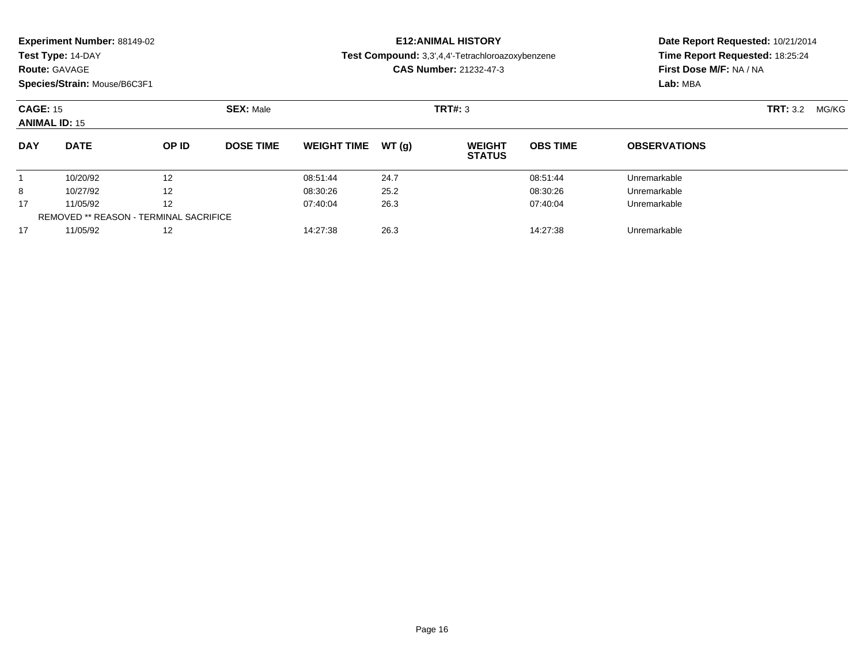|  | Experiment Number: 88149-02 |  |
|--|-----------------------------|--|
|--|-----------------------------|--|

#### **Route:** GAVAGE

**Species/Strain:** Mouse/B6C3F1

## **E12:ANIMAL HISTORY**

**Test Compound:** 3,3',4,4'-Tetrachloroazoxybenzene

**CAS Number:** 21232-47-3

| <b>CAGE: 15</b><br><b>ANIMAL ID: 15</b> |                                               |       | <b>SEX: Male</b> |                    |        | <b>TRT#: 3</b>                 |                 |                     |  | <b>TRT:</b> 3.2<br>MG/KG |
|-----------------------------------------|-----------------------------------------------|-------|------------------|--------------------|--------|--------------------------------|-----------------|---------------------|--|--------------------------|
| <b>DAY</b>                              | <b>DATE</b>                                   | OP ID | <b>DOSE TIME</b> | <b>WEIGHT TIME</b> | WT (a) | <b>WEIGHT</b><br><b>STATUS</b> | <b>OBS TIME</b> | <b>OBSERVATIONS</b> |  |                          |
|                                         | 10/20/92                                      | 12    |                  | 08:51:44           | 24.7   |                                | 08:51:44        | Unremarkable        |  |                          |
| 8                                       | 10/27/92                                      | 12    |                  | 08:30:26           | 25.2   |                                | 08:30:26        | Unremarkable        |  |                          |
| 17                                      | 11/05/92                                      | 12    |                  | 07:40:04           | 26.3   |                                | 07:40:04        | Unremarkable        |  |                          |
|                                         | <b>REMOVED ** REASON - TERMINAL SACRIFICE</b> |       |                  |                    |        |                                |                 |                     |  |                          |
| 17                                      | 11/05/92                                      | 12    |                  | 14:27:38           | 26.3   |                                | 14:27:38        | Unremarkable        |  |                          |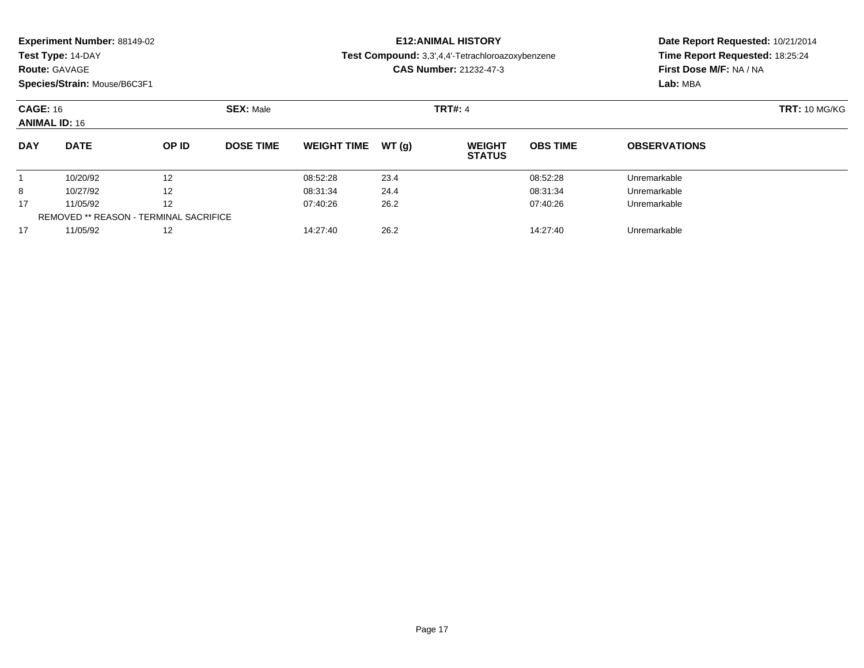| <b>Experiment Number: 88149-02</b> |  |  |
|------------------------------------|--|--|
|------------------------------------|--|--|

#### **Route:** GAVAGE

**Species/Strain:** Mouse/B6C3F1

# **E12:ANIMAL HISTORY**

**Test Compound:** 3,3',4,4'-Tetrachloroazoxybenzene

**CAS Number:** 21232-47-3

| <b>CAGE: 16</b><br><b>ANIMAL ID: 16</b> |                                               | <b>SEX: Male</b> |                  |                    | <b>TRT#: 4</b> | <b>TRT: 10 MG/KG</b>           |                 |                     |  |
|-----------------------------------------|-----------------------------------------------|------------------|------------------|--------------------|----------------|--------------------------------|-----------------|---------------------|--|
| <b>DAY</b>                              | <b>DATE</b>                                   | OP ID            | <b>DOSE TIME</b> | <b>WEIGHT TIME</b> | WT(q)          | <b>WEIGHT</b><br><b>STATUS</b> | <b>OBS TIME</b> | <b>OBSERVATIONS</b> |  |
|                                         | 10/20/92                                      | 12               |                  | 08:52:28           | 23.4           |                                | 08:52:28        | Unremarkable        |  |
| 8                                       | 10/27/92                                      | 12               |                  | 08:31:34           | 24.4           |                                | 08:31:34        | Unremarkable        |  |
| 17                                      | 11/05/92                                      | 12               |                  | 07:40:26           | 26.2           |                                | 07:40:26        | Unremarkable        |  |
|                                         | <b>REMOVED ** REASON - TERMINAL SACRIFICE</b> |                  |                  |                    |                |                                |                 |                     |  |
| 17                                      | 11/05/92                                      | 12               |                  | 14:27:40           | 26.2           |                                | 14:27:40        | Unremarkable        |  |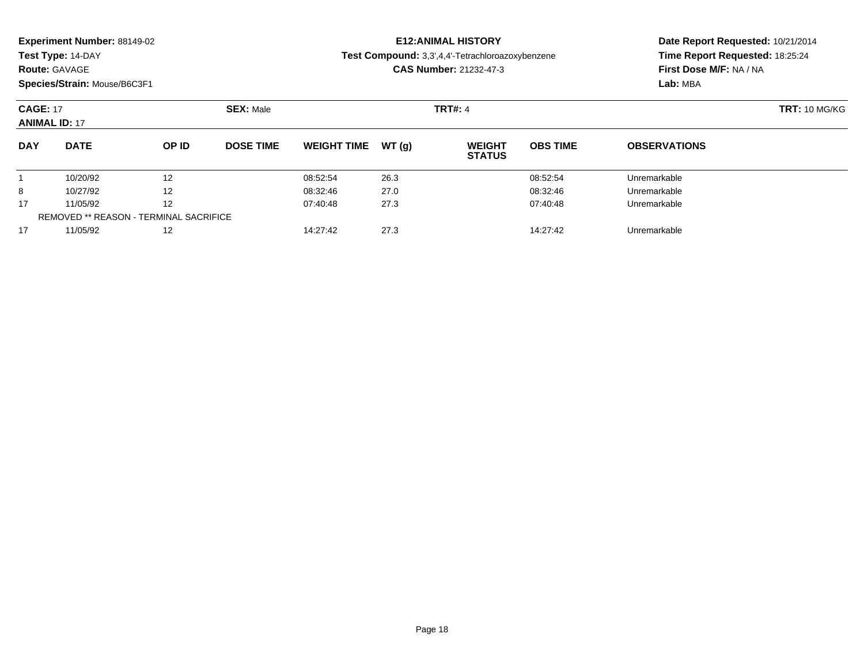| <b>Experiment Number: 88149-02</b> |  |  |
|------------------------------------|--|--|
|------------------------------------|--|--|

### **Route:** GAVAGE

**Species/Strain:** Mouse/B6C3F1

# **E12:ANIMAL HISTORY**

**Test Compound:** 3,3',4,4'-Tetrachloroazoxybenzene

**CAS Number:** 21232-47-3

| <b>CAGE: 17</b><br><b>ANIMAL ID: 17</b> |                                               |       | <b>SEX: Male</b> |                    |       | <b>TRT#: 4</b>                 | <b>TRT: 10 MG/KG</b> |                     |  |
|-----------------------------------------|-----------------------------------------------|-------|------------------|--------------------|-------|--------------------------------|----------------------|---------------------|--|
| <b>DAY</b>                              | <b>DATE</b>                                   | OP ID | <b>DOSE TIME</b> | <b>WEIGHT TIME</b> | WT(a) | <b>WEIGHT</b><br><b>STATUS</b> | <b>OBS TIME</b>      | <b>OBSERVATIONS</b> |  |
|                                         | 10/20/92                                      | 12    |                  | 08:52:54           | 26.3  |                                | 08:52:54             | Unremarkable        |  |
| 8                                       | 10/27/92                                      | 12    |                  | 08:32:46           | 27.0  |                                | 08:32:46             | Unremarkable        |  |
| 17                                      | 11/05/92                                      | 12    |                  | 07:40:48           | 27.3  |                                | 07:40:48             | Unremarkable        |  |
|                                         | <b>REMOVED ** REASON - TERMINAL SACRIFICE</b> |       |                  |                    |       |                                |                      |                     |  |
| 17                                      | 11/05/92                                      | 12    |                  | 14:27:42           | 27.3  |                                | 14:27:42             | Unremarkable        |  |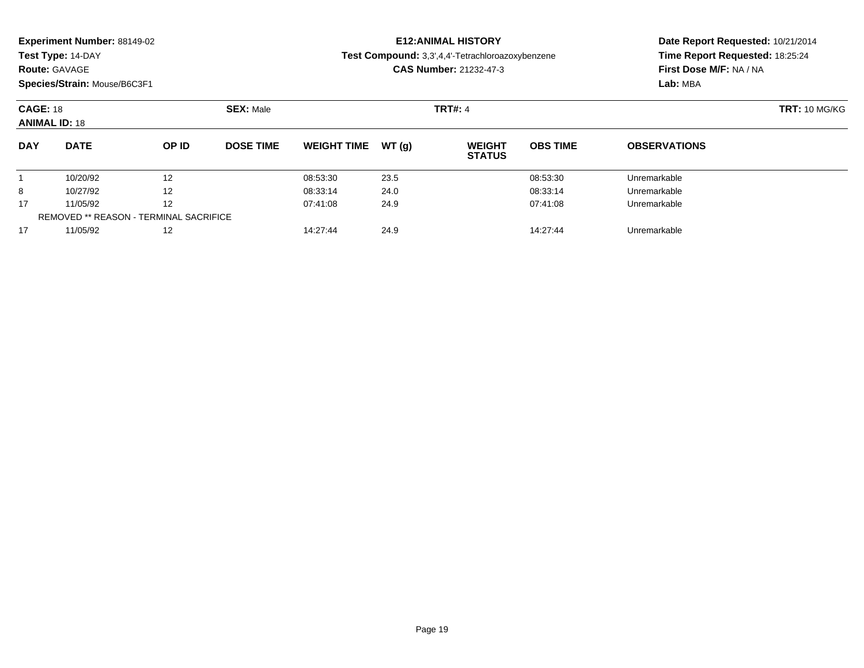| <b>Experiment Number: 88149-02</b> |  |  |
|------------------------------------|--|--|
|------------------------------------|--|--|

### **Route:** GAVAGE

**Species/Strain:** Mouse/B6C3F1

# **E12:ANIMAL HISTORY**

**Test Compound:** 3,3',4,4'-Tetrachloroazoxybenzene

**CAS Number:** 21232-47-3

| <b>CAGE: 18</b><br><b>ANIMAL ID: 18</b> |                                               |       | <b>SEX: Male</b> |                    |       | <b>TRT#: 4</b>                 | <b>TRT: 10 MG/KG</b> |                     |  |
|-----------------------------------------|-----------------------------------------------|-------|------------------|--------------------|-------|--------------------------------|----------------------|---------------------|--|
| <b>DAY</b>                              | <b>DATE</b>                                   | OP ID | <b>DOSE TIME</b> | <b>WEIGHT TIME</b> | WT(a) | <b>WEIGHT</b><br><b>STATUS</b> | <b>OBS TIME</b>      | <b>OBSERVATIONS</b> |  |
|                                         | 10/20/92                                      | 12    |                  | 08:53:30           | 23.5  |                                | 08:53:30             | Unremarkable        |  |
| 8                                       | 10/27/92                                      | 12    |                  | 08:33:14           | 24.0  |                                | 08:33:14             | Unremarkable        |  |
| 17                                      | 11/05/92                                      | 12    |                  | 07:41:08           | 24.9  |                                | 07:41:08             | Unremarkable        |  |
|                                         | <b>REMOVED ** REASON - TERMINAL SACRIFICE</b> |       |                  |                    |       |                                |                      |                     |  |
| 17                                      | 11/05/92                                      | 12    |                  | 14:27:44           | 24.9  |                                | 14:27:44             | Unremarkable        |  |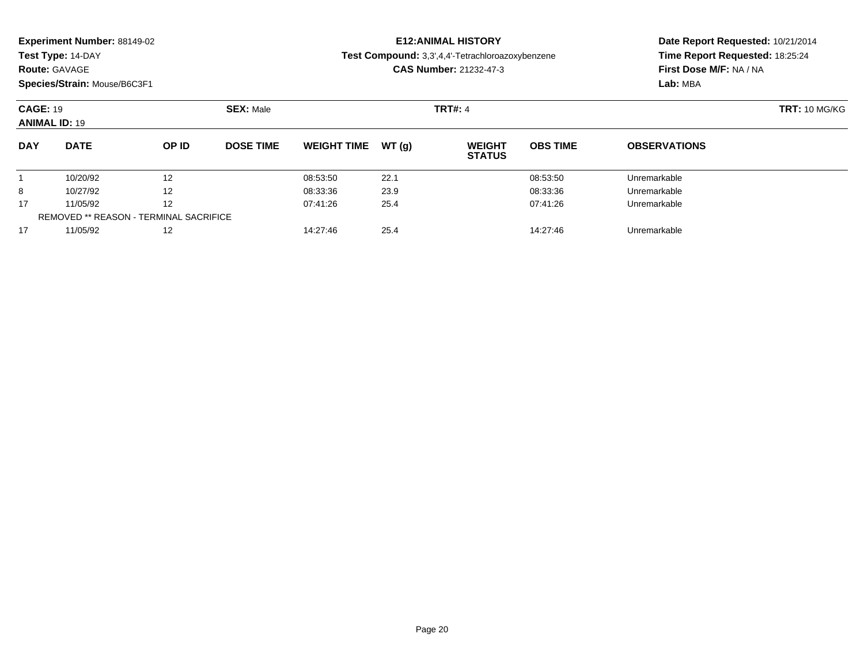| <b>Experiment Number: 88149-02</b> |  |  |
|------------------------------------|--|--|
|------------------------------------|--|--|

### **Route:** GAVAGE

**Species/Strain:** Mouse/B6C3F1

# **E12:ANIMAL HISTORY**

**Test Compound:** 3,3',4,4'-Tetrachloroazoxybenzene

**CAS Number:** 21232-47-3

| <b>CAGE: 19</b><br><b>ANIMAL ID: 19</b> |                                        | <b>SEX: Male</b>  |                  |                    | <b>TRT#: 4</b> | <b>TRT: 10 MG/KG</b>           |                 |                     |  |
|-----------------------------------------|----------------------------------------|-------------------|------------------|--------------------|----------------|--------------------------------|-----------------|---------------------|--|
| <b>DAY</b>                              | <b>DATE</b>                            | OP ID             | <b>DOSE TIME</b> | <b>WEIGHT TIME</b> | WT (a)         | <b>WEIGHT</b><br><b>STATUS</b> | <b>OBS TIME</b> | <b>OBSERVATIONS</b> |  |
|                                         | 10/20/92                               | 12                |                  | 08:53:50           | 22.1           |                                | 08:53:50        | Unremarkable        |  |
| 8                                       | 10/27/92                               | $12 \overline{ }$ |                  | 08:33:36           | 23.9           |                                | 08:33:36        | Unremarkable        |  |
| 17                                      | 11/05/92                               | 12                |                  | 07:41:26           | 25.4           |                                | 07:41:26        | Unremarkable        |  |
|                                         | REMOVED ** REASON - TERMINAL SACRIFICE |                   |                  |                    |                |                                |                 |                     |  |
| 17                                      | 11/05/92                               | 12                |                  | 14:27:46           | 25.4           |                                | 14:27:46        | Unremarkable        |  |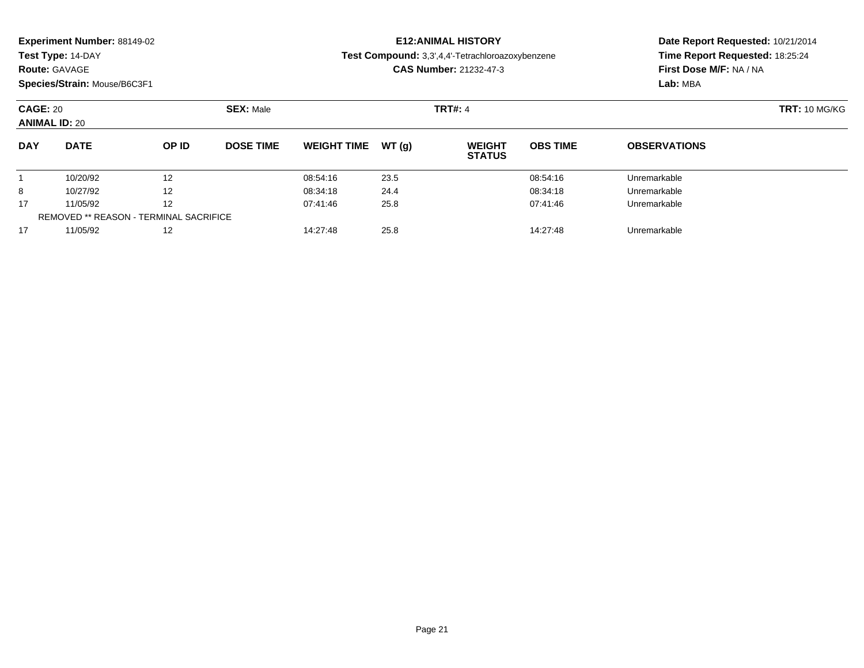| <b>Experiment Number: 88149-02</b> |  |  |
|------------------------------------|--|--|
|------------------------------------|--|--|

## **Route:** GAVAGE

**Species/Strain:** Mouse/B6C3F1

# **E12:ANIMAL HISTORY**

**Test Compound:** 3,3',4,4'-Tetrachloroazoxybenzene

**CAS Number:** 21232-47-3

| <b>CAGE: 20</b><br><b>ANIMAL ID: 20</b> |                                               |       | <b>SEX: Male</b> |                    |        |                                | <b>TRT#: 4</b>  |                     |  |  |
|-----------------------------------------|-----------------------------------------------|-------|------------------|--------------------|--------|--------------------------------|-----------------|---------------------|--|--|
| <b>DAY</b>                              | <b>DATE</b>                                   | OP ID | <b>DOSE TIME</b> | <b>WEIGHT TIME</b> | WT (a) | <b>WEIGHT</b><br><b>STATUS</b> | <b>OBS TIME</b> | <b>OBSERVATIONS</b> |  |  |
|                                         | 10/20/92                                      | 12    |                  | 08:54:16           | 23.5   |                                | 08:54:16        | Unremarkable        |  |  |
| 8                                       | 10/27/92                                      | 12    |                  | 08:34:18           | 24.4   |                                | 08:34:18        | Unremarkable        |  |  |
| 17                                      | 11/05/92                                      | 12    |                  | 07:41:46           | 25.8   |                                | 07:41:46        | Unremarkable        |  |  |
|                                         | <b>REMOVED ** REASON - TERMINAL SACRIFICE</b> |       |                  |                    |        |                                |                 |                     |  |  |
| 17                                      | 11/05/92                                      | 12    |                  | 14:27:48           | 25.8   |                                | 14:27:48        | Unremarkable        |  |  |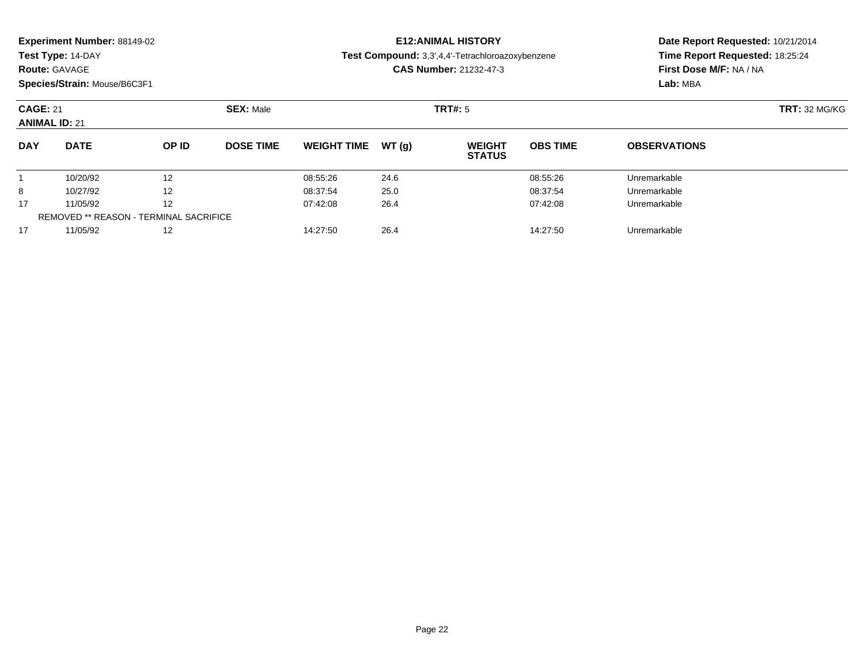| <b>Experiment Number: 88149-02</b> |  |  |
|------------------------------------|--|--|
|------------------------------------|--|--|

## **Route:** GAVAGE

**Species/Strain:** Mouse/B6C3F1

# **E12:ANIMAL HISTORY**

**Test Compound:** 3,3',4,4'-Tetrachloroazoxybenzene

**CAS Number:** 21232-47-3

| <b>CAGE: 21</b><br><b>ANIMAL ID: 21</b> |                                               |       | <b>SEX: Male</b> |                    |        | <b>TRT#:</b> 5                 | <b>TRT:</b> 32 MG/KG |                     |  |
|-----------------------------------------|-----------------------------------------------|-------|------------------|--------------------|--------|--------------------------------|----------------------|---------------------|--|
| <b>DAY</b>                              | <b>DATE</b>                                   | OP ID | <b>DOSE TIME</b> | <b>WEIGHT TIME</b> | WT (a) | <b>WEIGHT</b><br><b>STATUS</b> | <b>OBS TIME</b>      | <b>OBSERVATIONS</b> |  |
|                                         | 10/20/92                                      | 12    |                  | 08:55:26           | 24.6   |                                | 08:55:26             | Unremarkable        |  |
| 8                                       | 10/27/92                                      | 12    |                  | 08:37:54           | 25.0   |                                | 08:37:54             | Unremarkable        |  |
| 17                                      | 11/05/92                                      | 12    |                  | 07:42:08           | 26.4   |                                | 07:42:08             | Unremarkable        |  |
|                                         | <b>REMOVED ** REASON - TERMINAL SACRIFICE</b> |       |                  |                    |        |                                |                      |                     |  |
| 17                                      | 11/05/92                                      | 12    |                  | 14:27:50           | 26.4   |                                | 14:27:50             | Unremarkable        |  |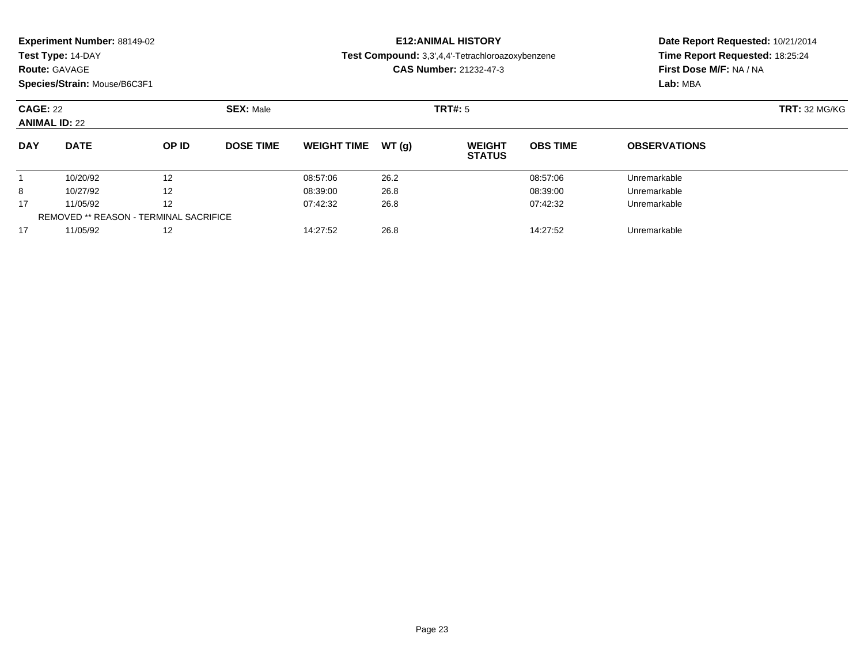| <b>Experiment Number: 88149-02</b> |  |  |
|------------------------------------|--|--|
|------------------------------------|--|--|

## **Route:** GAVAGE

**Species/Strain:** Mouse/B6C3F1

# **E12:ANIMAL HISTORY**

**Test Compound:** 3,3',4,4'-Tetrachloroazoxybenzene

**CAS Number:** 21232-47-3

| <b>CAGE: 22</b><br><b>ANIMAL ID: 22</b> |                                               |       | <b>SEX: Male</b> |                    |        | <b>TRT#:</b> 5                 | <b>TRT:</b> 32 MG/KG |                     |  |
|-----------------------------------------|-----------------------------------------------|-------|------------------|--------------------|--------|--------------------------------|----------------------|---------------------|--|
| <b>DAY</b>                              | <b>DATE</b>                                   | OP ID | <b>DOSE TIME</b> | <b>WEIGHT TIME</b> | WT (a) | <b>WEIGHT</b><br><b>STATUS</b> | <b>OBS TIME</b>      | <b>OBSERVATIONS</b> |  |
|                                         | 10/20/92                                      | 12    |                  | 08:57:06           | 26.2   |                                | 08:57:06             | Unremarkable        |  |
| 8                                       | 10/27/92                                      | 12    |                  | 08:39:00           | 26.8   |                                | 08:39:00             | Unremarkable        |  |
| 17                                      | 11/05/92                                      | 12    |                  | 07:42:32           | 26.8   |                                | 07:42:32             | Unremarkable        |  |
|                                         | <b>REMOVED ** REASON - TERMINAL SACRIFICE</b> |       |                  |                    |        |                                |                      |                     |  |
| 17                                      | 11/05/92                                      | 12    |                  | 14:27:52           | 26.8   |                                | 14:27:52             | Unremarkable        |  |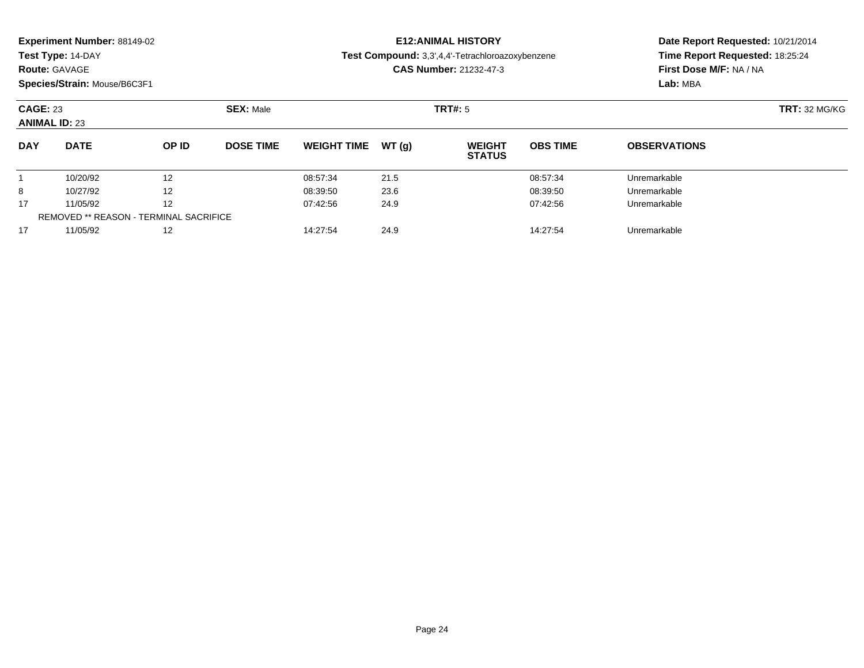| <b>Experiment Number: 88149-02</b> |  |  |
|------------------------------------|--|--|
|------------------------------------|--|--|

## **Route:** GAVAGE

**Species/Strain:** Mouse/B6C3F1

# **E12:ANIMAL HISTORY**

**Test Compound:** 3,3',4,4'-Tetrachloroazoxybenzene

**CAS Number:** 21232-47-3

| <b>CAGE: 23</b><br><b>ANIMAL ID: 23</b> |                                               |       | <b>SEX: Male</b> |                    |       | <b>TRT#:</b> 5                 | <b>TRT:</b> 32 MG/KG |                     |  |
|-----------------------------------------|-----------------------------------------------|-------|------------------|--------------------|-------|--------------------------------|----------------------|---------------------|--|
| <b>DAY</b>                              | <b>DATE</b>                                   | OP ID | <b>DOSE TIME</b> | <b>WEIGHT TIME</b> | WT(a) | <b>WEIGHT</b><br><b>STATUS</b> | <b>OBS TIME</b>      | <b>OBSERVATIONS</b> |  |
|                                         | 10/20/92                                      | 12    |                  | 08:57:34           | 21.5  |                                | 08:57:34             | Unremarkable        |  |
| 8                                       | 10/27/92                                      | 12    |                  | 08:39:50           | 23.6  |                                | 08:39:50             | Unremarkable        |  |
| 17                                      | 11/05/92                                      | 12    |                  | 07:42:56           | 24.9  |                                | 07:42:56             | Unremarkable        |  |
|                                         | <b>REMOVED ** REASON - TERMINAL SACRIFICE</b> |       |                  |                    |       |                                |                      |                     |  |
| 17                                      | 11/05/92                                      | 12    |                  | 14:27:54           | 24.9  |                                | 14:27:54             | Unremarkable        |  |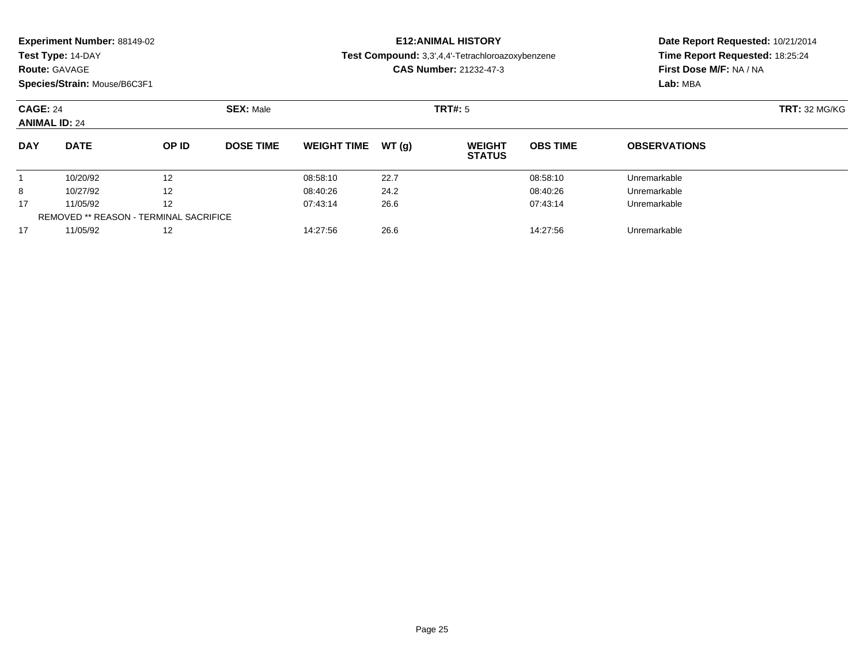| <b>Experiment Number: 88149-02</b> |  |  |
|------------------------------------|--|--|
|------------------------------------|--|--|

## **Route:** GAVAGE

**Species/Strain:** Mouse/B6C3F1

# **E12:ANIMAL HISTORY**

**Test Compound:** 3,3',4,4'-Tetrachloroazoxybenzene

**CAS Number:** 21232-47-3

| <b>CAGE: 24</b><br><b>ANIMAL ID: 24</b> |                                               |       | <b>SEX: Male</b> |                    |       | <b>TRT#:</b> 5                 | <b>TRT:</b> 32 MG/KG |                     |  |
|-----------------------------------------|-----------------------------------------------|-------|------------------|--------------------|-------|--------------------------------|----------------------|---------------------|--|
| <b>DAY</b>                              | <b>DATE</b>                                   | OP ID | <b>DOSE TIME</b> | <b>WEIGHT TIME</b> | WT(a) | <b>WEIGHT</b><br><b>STATUS</b> | <b>OBS TIME</b>      | <b>OBSERVATIONS</b> |  |
|                                         | 10/20/92                                      | 12    |                  | 08:58:10           | 22.7  |                                | 08:58:10             | Unremarkable        |  |
| 8                                       | 10/27/92                                      | 12    |                  | 08:40:26           | 24.2  |                                | 08:40:26             | Unremarkable        |  |
| 17                                      | 11/05/92                                      | 12    |                  | 07:43:14           | 26.6  |                                | 07:43:14             | Unremarkable        |  |
|                                         | <b>REMOVED ** REASON - TERMINAL SACRIFICE</b> |       |                  |                    |       |                                |                      |                     |  |
| 17                                      | 11/05/92                                      | 12    |                  | 14:27:56           | 26.6  |                                | 14:27:56             | Unremarkable        |  |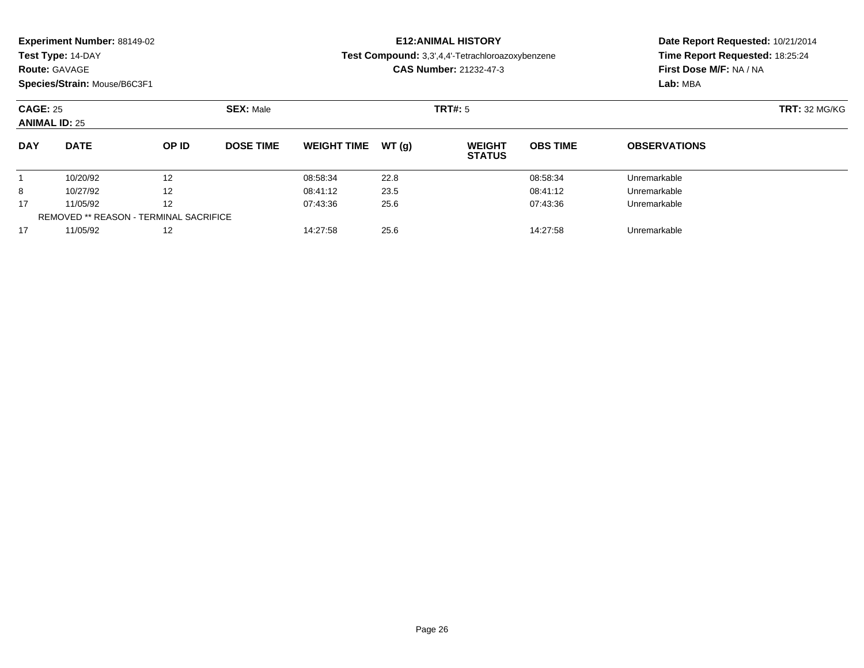**Test Type:** 14-DAY

### **Route:** GAVAGE

**Species/Strain:** Mouse/B6C3F1

# **E12:ANIMAL HISTORY**

**Test Compound:** 3,3',4,4'-Tetrachloroazoxybenzene

**CAS Number:** 21232-47-3

| <b>CAGE: 25</b><br><b>ANIMAL ID: 25</b> |                                               |       | <b>SEX: Male</b> |                    |       |                                | TRT#: 5         |                     |  |  |
|-----------------------------------------|-----------------------------------------------|-------|------------------|--------------------|-------|--------------------------------|-----------------|---------------------|--|--|
| <b>DAY</b>                              | <b>DATE</b>                                   | OP ID | <b>DOSE TIME</b> | <b>WEIGHT TIME</b> | WT(a) | <b>WEIGHT</b><br><b>STATUS</b> | <b>OBS TIME</b> | <b>OBSERVATIONS</b> |  |  |
|                                         | 10/20/92                                      | 12    |                  | 08:58:34           | 22.8  |                                | 08:58:34        | Unremarkable        |  |  |
| 8                                       | 10/27/92                                      | 12    |                  | 08:41:12           | 23.5  |                                | 08:41:12        | Unremarkable        |  |  |
| 17                                      | 11/05/92                                      | 12    |                  | 07:43:36           | 25.6  |                                | 07:43:36        | Unremarkable        |  |  |
|                                         | <b>REMOVED ** REASON - TERMINAL SACRIFICE</b> |       |                  |                    |       |                                |                 |                     |  |  |
| 17                                      | 11/05/92                                      | 12    |                  | 14:27:58           | 25.6  |                                | 14:27:58        | Unremarkable        |  |  |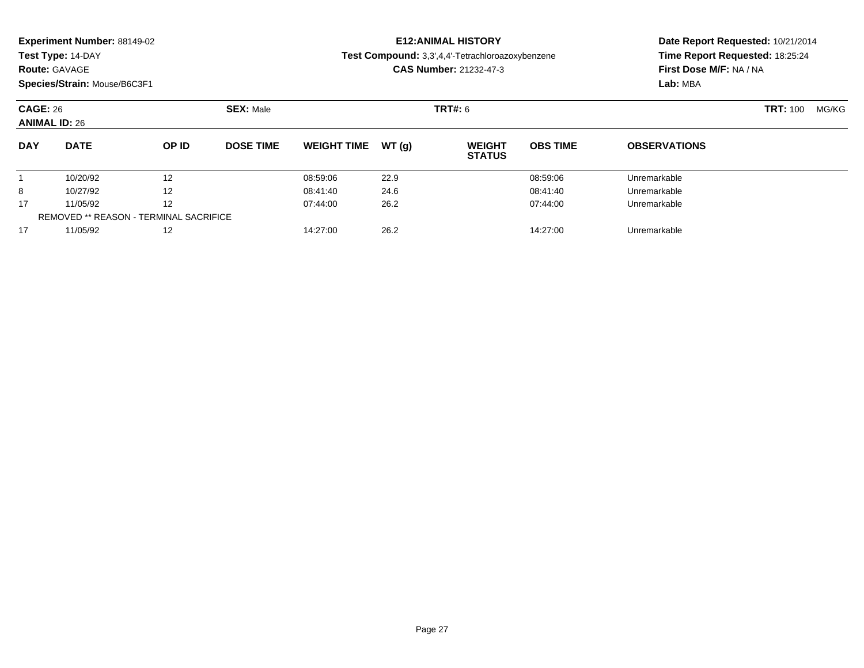**Test Type:** 14-DAY

### **Route:** GAVAGE

**Species/Strain:** Mouse/B6C3F1

# **E12:ANIMAL HISTORY**

**Test Compound:** 3,3',4,4'-Tetrachloroazoxybenzene

**CAS Number:** 21232-47-3

| <b>CAGE: 26</b><br><b>ANIMAL ID: 26</b> |                                               |       | <b>SEX: Male</b> |                    |        | <b>TRT#: 6</b>                 | <b>TRT: 100</b> | MG/KG               |  |  |
|-----------------------------------------|-----------------------------------------------|-------|------------------|--------------------|--------|--------------------------------|-----------------|---------------------|--|--|
| <b>DAY</b>                              | <b>DATE</b>                                   | OP ID | <b>DOSE TIME</b> | <b>WEIGHT TIME</b> | WT (a) | <b>WEIGHT</b><br><b>STATUS</b> | <b>OBS TIME</b> | <b>OBSERVATIONS</b> |  |  |
|                                         | 10/20/92                                      | 12    |                  | 08:59:06           | 22.9   |                                | 08:59:06        | Unremarkable        |  |  |
| 8                                       | 10/27/92                                      | 12    |                  | 08:41:40           | 24.6   |                                | 08:41:40        | Unremarkable        |  |  |
| 17                                      | 11/05/92                                      | 12    |                  | 07:44:00           | 26.2   |                                | 07:44:00        | Unremarkable        |  |  |
|                                         | <b>REMOVED ** REASON - TERMINAL SACRIFICE</b> |       |                  |                    |        |                                |                 |                     |  |  |
| 17                                      | 11/05/92                                      | 12    |                  | 14:27:00           | 26.2   |                                | 14:27:00        | Unremarkable        |  |  |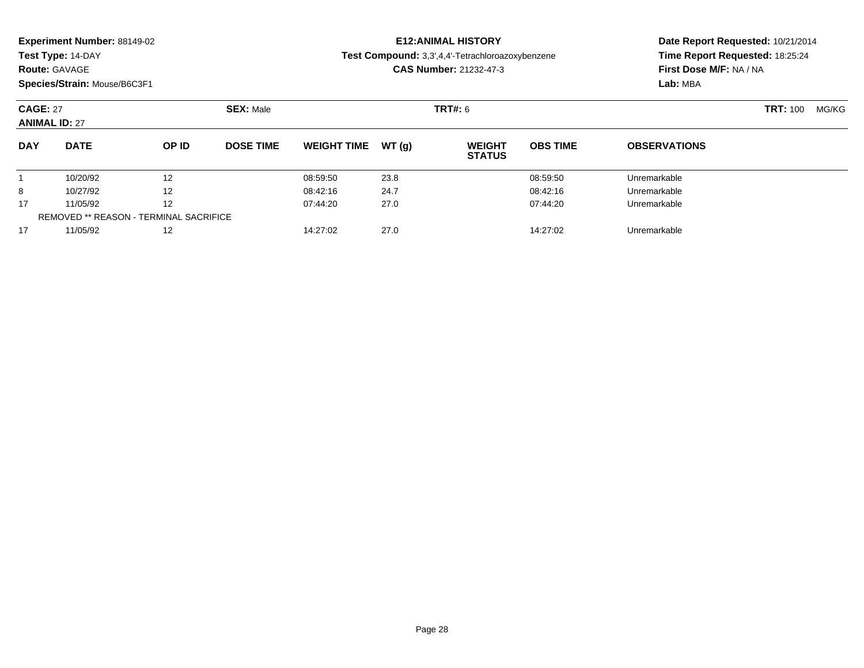**Test Type:** 14-DAY

### **Route:** GAVAGE

**Species/Strain:** Mouse/B6C3F1

# **E12:ANIMAL HISTORY**

**Test Compound:** 3,3',4,4'-Tetrachloroazoxybenzene

**CAS Number:** 21232-47-3

| <b>CAGE: 27</b><br><b>ANIMAL ID: 27</b> |                                               |              | <b>SEX: Male</b> |                    |        | <b>TRT#:</b> 6                 |                 |                     |  | MG/KG |
|-----------------------------------------|-----------------------------------------------|--------------|------------------|--------------------|--------|--------------------------------|-----------------|---------------------|--|-------|
| <b>DAY</b>                              | <b>DATE</b>                                   | <b>OP ID</b> | <b>DOSE TIME</b> | <b>WEIGHT TIME</b> | WT (a) | <b>WEIGHT</b><br><b>STATUS</b> | <b>OBS TIME</b> | <b>OBSERVATIONS</b> |  |       |
|                                         | 10/20/92                                      | 12           |                  | 08:59:50           | 23.8   |                                | 08:59:50        | Unremarkable        |  |       |
| 8                                       | 10/27/92                                      | 12           |                  | 08:42:16           | 24.7   |                                | 08:42:16        | Unremarkable        |  |       |
| 17                                      | 11/05/92                                      | 12           |                  | 07:44:20           | 27.0   |                                | 07:44:20        | Unremarkable        |  |       |
|                                         | <b>REMOVED ** REASON - TERMINAL SACRIFICE</b> |              |                  |                    |        |                                |                 |                     |  |       |
| 17                                      | 11/05/92                                      | 12           |                  | 14:27:02           | 27.0   |                                | 14:27:02        | Unremarkable        |  |       |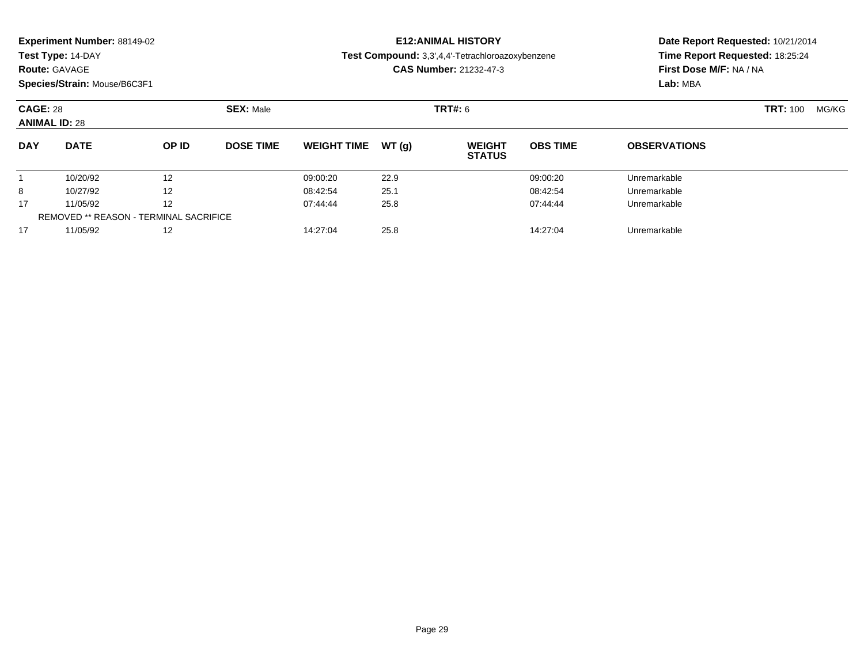**Test Type:** 14-DAY

### **Route:** GAVAGE

**Species/Strain:** Mouse/B6C3F1

# **E12:ANIMAL HISTORY**

**Test Compound:** 3,3',4,4'-Tetrachloroazoxybenzene

**CAS Number:** 21232-47-3

| <b>CAGE: 28</b><br><b>ANIMAL ID: 28</b> |                                               |              | <b>SEX: Male</b> |                    |       | TRT#: 6                        | <b>TRT: 100</b> | MG/KG               |  |  |
|-----------------------------------------|-----------------------------------------------|--------------|------------------|--------------------|-------|--------------------------------|-----------------|---------------------|--|--|
| <b>DAY</b>                              | <b>DATE</b>                                   | <b>OP ID</b> | <b>DOSE TIME</b> | <b>WEIGHT TIME</b> | WT(a) | <b>WEIGHT</b><br><b>STATUS</b> | <b>OBS TIME</b> | <b>OBSERVATIONS</b> |  |  |
|                                         | 10/20/92                                      | 12           |                  | 09:00:20           | 22.9  |                                | 09:00:20        | Unremarkable        |  |  |
| 8                                       | 10/27/92                                      | 12           |                  | 08:42:54           | 25.1  |                                | 08:42:54        | Unremarkable        |  |  |
| 17                                      | 11/05/92                                      | 12           |                  | 07:44:44           | 25.8  |                                | 07:44:44        | Unremarkable        |  |  |
|                                         | <b>REMOVED ** REASON - TERMINAL SACRIFICE</b> |              |                  |                    |       |                                |                 |                     |  |  |
| 17                                      | 11/05/92                                      | 12           |                  | 14:27:04           | 25.8  |                                | 14:27:04        | Unremarkable        |  |  |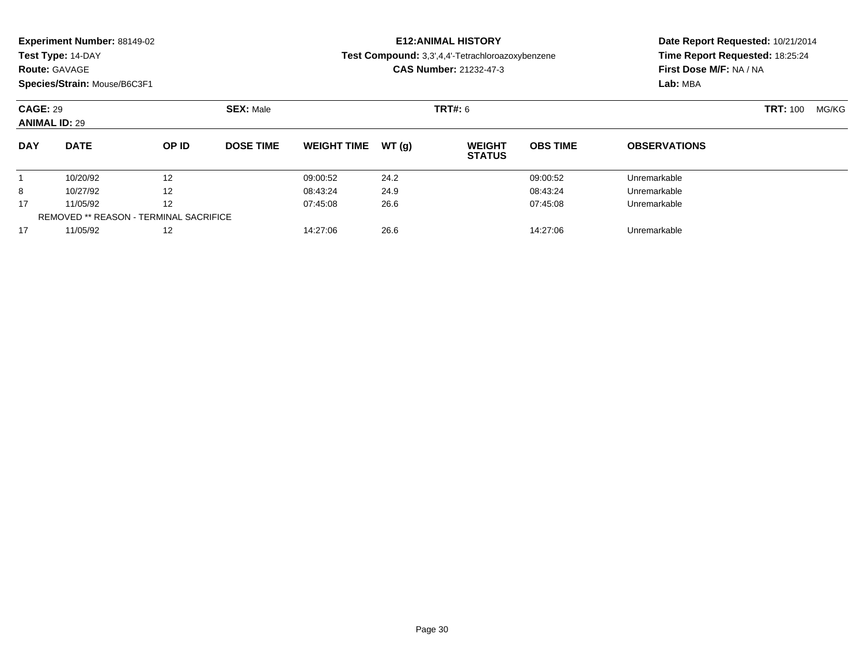**Test Type:** 14-DAY

### **Route:** GAVAGE

**Species/Strain:** Mouse/B6C3F1

# **E12:ANIMAL HISTORY**

**Test Compound:** 3,3',4,4'-Tetrachloroazoxybenzene

**CAS Number:** 21232-47-3

| <b>CAGE: 29</b><br><b>ANIMAL ID: 29</b> |                                               |              | <b>SEX: Male</b> |                    |       | TRT#: 6                        | <b>TRT: 100</b> | MG/KG               |  |  |
|-----------------------------------------|-----------------------------------------------|--------------|------------------|--------------------|-------|--------------------------------|-----------------|---------------------|--|--|
| <b>DAY</b>                              | <b>DATE</b>                                   | <b>OP ID</b> | <b>DOSE TIME</b> | <b>WEIGHT TIME</b> | WT(a) | <b>WEIGHT</b><br><b>STATUS</b> | <b>OBS TIME</b> | <b>OBSERVATIONS</b> |  |  |
|                                         | 10/20/92                                      | 12           |                  | 09:00:52           | 24.2  |                                | 09:00:52        | Unremarkable        |  |  |
| 8                                       | 10/27/92                                      | 12           |                  | 08:43:24           | 24.9  |                                | 08:43:24        | Unremarkable        |  |  |
| 17                                      | 11/05/92                                      | 12           |                  | 07:45:08           | 26.6  |                                | 07:45:08        | Unremarkable        |  |  |
|                                         | <b>REMOVED ** REASON - TERMINAL SACRIFICE</b> |              |                  |                    |       |                                |                 |                     |  |  |
| 17                                      | 11/05/92                                      | 12           |                  | 14:27:06           | 26.6  |                                | 14:27:06        | Unremarkable        |  |  |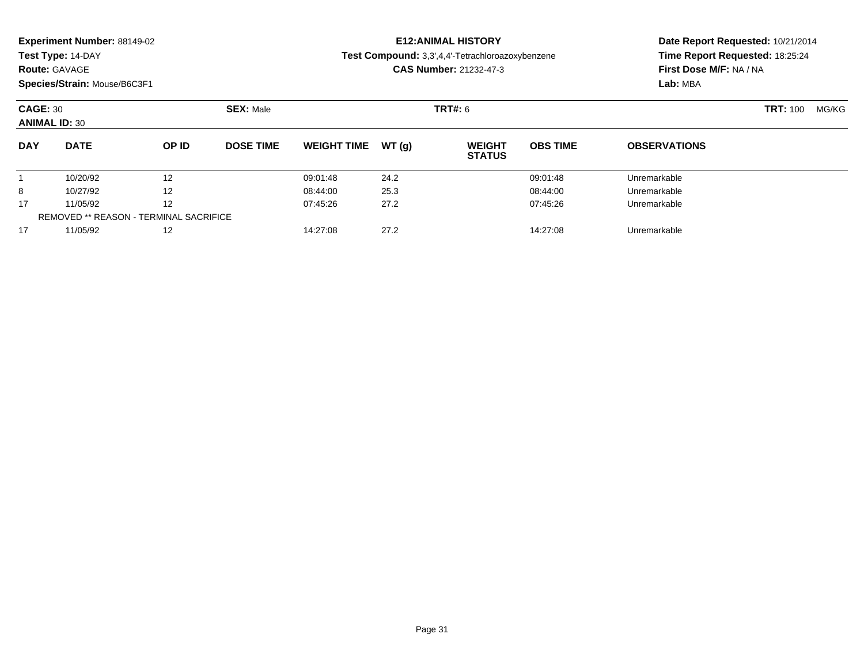| <b>Experiment Number: 88149-02</b> |  |  |
|------------------------------------|--|--|
|------------------------------------|--|--|

# **Route:** GAVAGE

**Species/Strain:** Mouse/B6C3F1

# **E12:ANIMAL HISTORY**

**Test Compound:** 3,3',4,4'-Tetrachloroazoxybenzene

**CAS Number:** 21232-47-3

| <b>CAGE: 30</b><br><b>ANIMAL ID: 30</b> |                                               |       | <b>SEX: Male</b> |                    |        | <b>TRT#: 6</b>                 | <b>TRT: 100</b> | MG/KG               |  |  |
|-----------------------------------------|-----------------------------------------------|-------|------------------|--------------------|--------|--------------------------------|-----------------|---------------------|--|--|
| <b>DAY</b>                              | <b>DATE</b>                                   | OP ID | <b>DOSE TIME</b> | <b>WEIGHT TIME</b> | WT (a) | <b>WEIGHT</b><br><b>STATUS</b> | <b>OBS TIME</b> | <b>OBSERVATIONS</b> |  |  |
|                                         | 10/20/92                                      | 12    |                  | 09:01:48           | 24.2   |                                | 09:01:48        | Unremarkable        |  |  |
| 8                                       | 10/27/92                                      | 12    |                  | 08:44:00           | 25.3   |                                | 08:44:00        | Unremarkable        |  |  |
| 17                                      | 11/05/92                                      | 12    |                  | 07:45:26           | 27.2   |                                | 07:45:26        | Unremarkable        |  |  |
|                                         | <b>REMOVED ** REASON - TERMINAL SACRIFICE</b> |       |                  |                    |        |                                |                 |                     |  |  |
| 17                                      | 11/05/92                                      | 12    |                  | 14:27:08           | 27.2   |                                | 14:27:08        | Unremarkable        |  |  |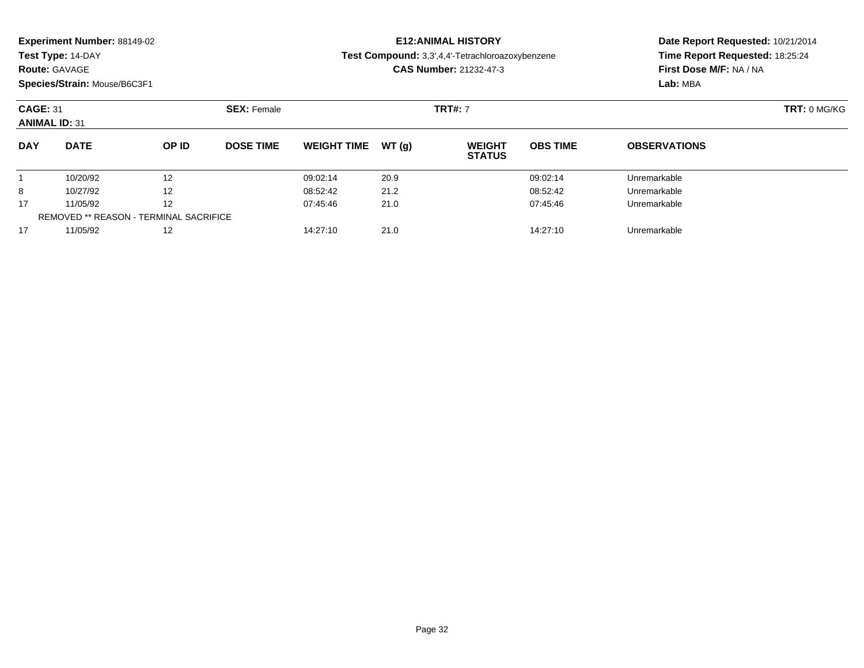**Test Type:** 14-DAY

### **Route:** GAVAGE

**Species/Strain:** Mouse/B6C3F1

# **E12:ANIMAL HISTORY**

**Test Compound:** 3,3',4,4'-Tetrachloroazoxybenzene

**CAS Number:** 21232-47-3

| <b>CAGE: 31</b><br><b>ANIMAL ID: 31</b> |                                               |              | <b>SEX: Female</b> |                    |       | <b>TRT#: 7</b>                 | TRT: 0 MG/KG    |                     |  |
|-----------------------------------------|-----------------------------------------------|--------------|--------------------|--------------------|-------|--------------------------------|-----------------|---------------------|--|
| <b>DAY</b>                              | <b>DATE</b>                                   | <b>OP ID</b> | <b>DOSE TIME</b>   | <b>WEIGHT TIME</b> | WT(a) | <b>WEIGHT</b><br><b>STATUS</b> | <b>OBS TIME</b> | <b>OBSERVATIONS</b> |  |
|                                         | 10/20/92                                      | 12           |                    | 09:02:14           | 20.9  |                                | 09:02:14        | Unremarkable        |  |
| 8                                       | 10/27/92                                      | 12           |                    | 08:52:42           | 21.2  |                                | 08:52:42        | Unremarkable        |  |
| 17                                      | 11/05/92                                      | 12           |                    | 07:45:46           | 21.0  |                                | 07:45:46        | Unremarkable        |  |
|                                         | <b>REMOVED ** REASON - TERMINAL SACRIFICE</b> |              |                    |                    |       |                                |                 |                     |  |
| 17                                      | 11/05/92                                      | 12           |                    | 14:27:10           | 21.0  |                                | 14:27:10        | Unremarkable        |  |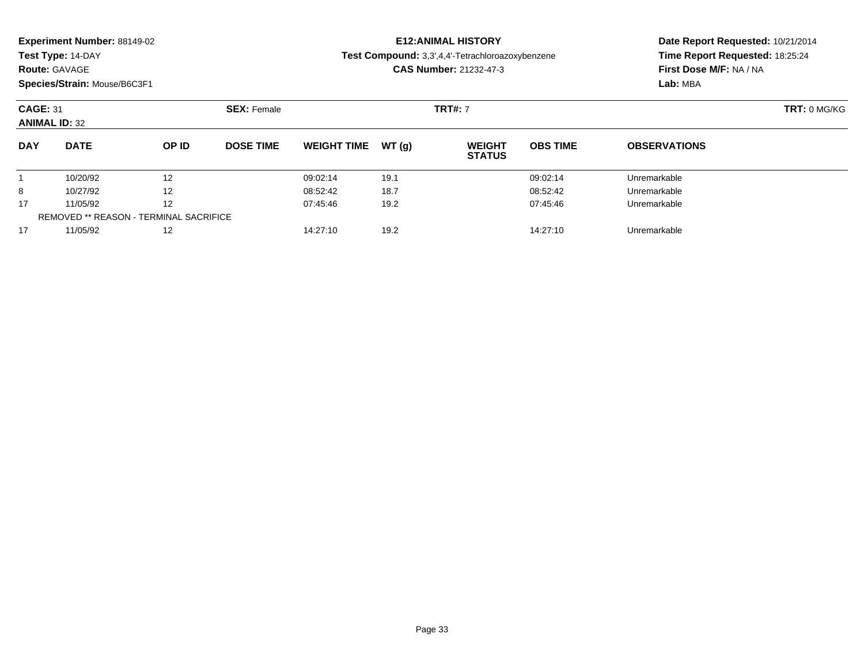| <b>Experiment Number: 88149-02</b> |  |  |
|------------------------------------|--|--|
|------------------------------------|--|--|

## **Route:** GAVAGE

**Species/Strain:** Mouse/B6C3F1

# **E12:ANIMAL HISTORY**

**Test Compound:** 3,3',4,4'-Tetrachloroazoxybenzene

**CAS Number:** 21232-47-3

| <b>CAGE: 31</b><br><b>ANIMAL ID: 32</b> |                                        |                   | <b>SEX: Female</b> |                    |       | <b>TRT#: 7</b>                 | TRT: 0 MG/KG    |                     |  |
|-----------------------------------------|----------------------------------------|-------------------|--------------------|--------------------|-------|--------------------------------|-----------------|---------------------|--|
| <b>DAY</b>                              | <b>DATE</b>                            | OP ID             | <b>DOSE TIME</b>   | <b>WEIGHT TIME</b> | WT(g) | <b>WEIGHT</b><br><b>STATUS</b> | <b>OBS TIME</b> | <b>OBSERVATIONS</b> |  |
|                                         | 10/20/92                               | 12                |                    | 09:02:14           | 19.1  |                                | 09:02:14        | Unremarkable        |  |
| 8                                       | 10/27/92                               | $12 \overline{ }$ |                    | 08:52:42           | 18.7  |                                | 08:52:42        | Unremarkable        |  |
| 17                                      | 11/05/92                               | $12 \overline{ }$ |                    | 07:45:46           | 19.2  |                                | 07:45:46        | Unremarkable        |  |
|                                         | REMOVED ** REASON - TERMINAL SACRIFICE |                   |                    |                    |       |                                |                 |                     |  |
| 17                                      | 11/05/92                               | 12                |                    | 14:27:10           | 19.2  |                                | 14:27:10        | Unremarkable        |  |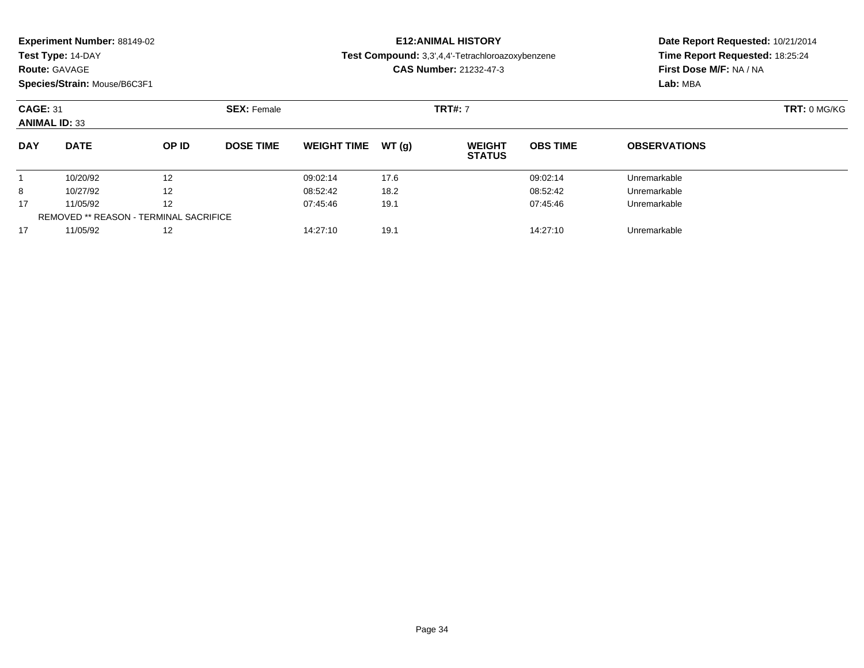| <b>Experiment Number: 88149-02</b> |  |  |
|------------------------------------|--|--|
|------------------------------------|--|--|

**Route:** GAVAGE

**Species/Strain:** Mouse/B6C3F1

## **E12:ANIMAL HISTORY**

**Test Compound:** 3,3',4,4'-Tetrachloroazoxybenzene

**CAS Number:** 21232-47-3

| <b>CAGE: 31</b><br><b>ANIMAL ID: 33</b> |                                               |              | <b>SEX: Female</b> |                    |       |                                | <b>TRT#: 7</b>  |                     |  |  |
|-----------------------------------------|-----------------------------------------------|--------------|--------------------|--------------------|-------|--------------------------------|-----------------|---------------------|--|--|
| <b>DAY</b>                              | <b>DATE</b>                                   | <b>OP ID</b> | <b>DOSE TIME</b>   | <b>WEIGHT TIME</b> | WT(q) | <b>WEIGHT</b><br><b>STATUS</b> | <b>OBS TIME</b> | <b>OBSERVATIONS</b> |  |  |
|                                         | 10/20/92                                      | 12           |                    | 09:02:14           | 17.6  |                                | 09:02:14        | Unremarkable        |  |  |
| 8                                       | 10/27/92                                      | 12           |                    | 08:52:42           | 18.2  |                                | 08:52:42        | Unremarkable        |  |  |
| 17                                      | 11/05/92                                      | 12           |                    | 07:45:46           | 19.1  |                                | 07:45:46        | Unremarkable        |  |  |
|                                         | <b>REMOVED ** REASON - TERMINAL SACRIFICE</b> |              |                    |                    |       |                                |                 |                     |  |  |
| 17                                      | 11/05/92                                      | 12           |                    | 14:27:10           | 19.1  |                                | 14:27:10        | Unremarkable        |  |  |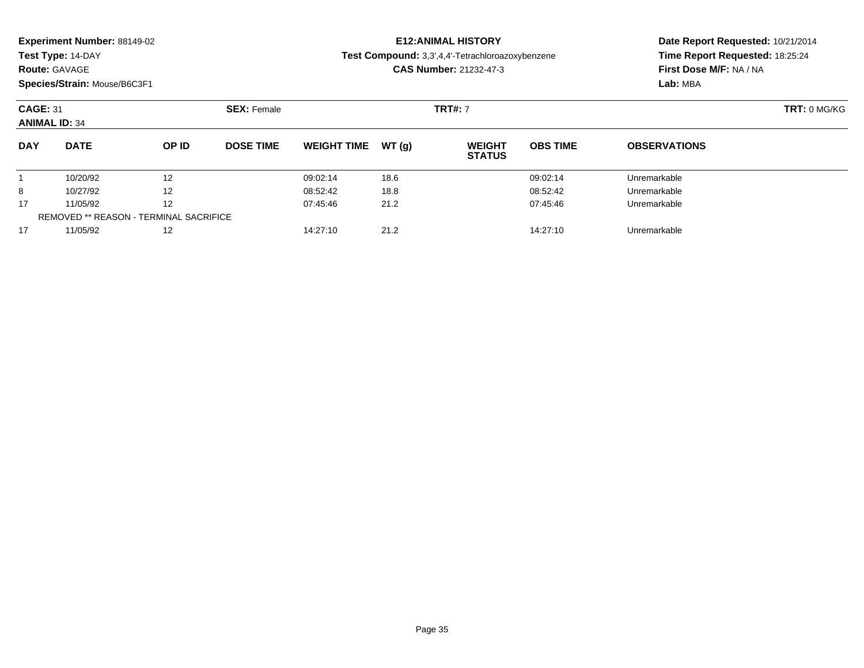| <b>Experiment Number: 88149-02</b> |  |  |
|------------------------------------|--|--|
|------------------------------------|--|--|

## **Route:** GAVAGE

**Species/Strain:** Mouse/B6C3F1

# **E12:ANIMAL HISTORY**

**Test Compound:** 3,3',4,4'-Tetrachloroazoxybenzene

**CAS Number:** 21232-47-3

| <b>CAGE: 31</b><br><b>ANIMAL ID: 34</b> |                                               |              | <b>SEX: Female</b> |                    |       | <b>TRT#: 7</b>                 | TRT: 0 MG/KG    |                     |  |
|-----------------------------------------|-----------------------------------------------|--------------|--------------------|--------------------|-------|--------------------------------|-----------------|---------------------|--|
| <b>DAY</b>                              | <b>DATE</b>                                   | <b>OP ID</b> | <b>DOSE TIME</b>   | <b>WEIGHT TIME</b> | WT(a) | <b>WEIGHT</b><br><b>STATUS</b> | <b>OBS TIME</b> | <b>OBSERVATIONS</b> |  |
|                                         | 10/20/92                                      | 12           |                    | 09:02:14           | 18.6  |                                | 09:02:14        | Unremarkable        |  |
| 8                                       | 10/27/92                                      | 12           |                    | 08:52:42           | 18.8  |                                | 08:52:42        | Unremarkable        |  |
| 17                                      | 11/05/92                                      | 12           |                    | 07:45:46           | 21.2  |                                | 07:45:46        | Unremarkable        |  |
|                                         | <b>REMOVED ** REASON - TERMINAL SACRIFICE</b> |              |                    |                    |       |                                |                 |                     |  |
| 17                                      | 11/05/92                                      | 12           |                    | 14:27:10           | 21.2  |                                | 14:27:10        | Unremarkable        |  |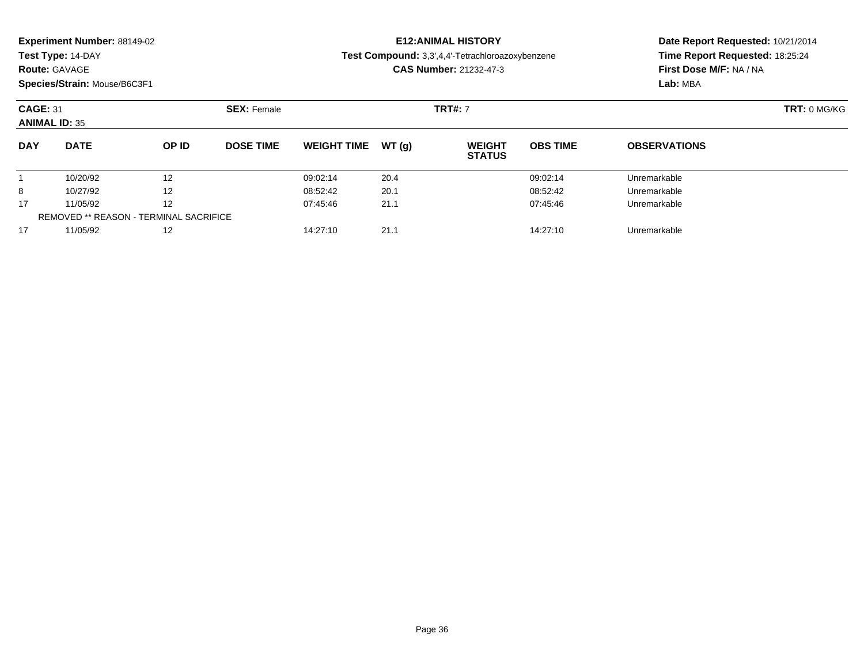**Test Type:** 14-DAY

### **Route:** GAVAGE

**Species/Strain:** Mouse/B6C3F1

## **E12:ANIMAL HISTORY**

**Test Compound:** 3,3',4,4'-Tetrachloroazoxybenzene

**CAS Number:** 21232-47-3

| <b>CAGE: 31</b><br><b>ANIMAL ID: 35</b> |                                               |       | <b>SEX: Female</b> |                    |        |                                | <b>TRT#: 7</b>  |                     |  |  |
|-----------------------------------------|-----------------------------------------------|-------|--------------------|--------------------|--------|--------------------------------|-----------------|---------------------|--|--|
| <b>DAY</b>                              | <b>DATE</b>                                   | OP ID | <b>DOSE TIME</b>   | <b>WEIGHT TIME</b> | WT (a) | <b>WEIGHT</b><br><b>STATUS</b> | <b>OBS TIME</b> | <b>OBSERVATIONS</b> |  |  |
|                                         | 10/20/92                                      | 12    |                    | 09:02:14           | 20.4   |                                | 09:02:14        | Unremarkable        |  |  |
| 8                                       | 10/27/92                                      | 12    |                    | 08:52:42           | 20.1   |                                | 08:52:42        | Unremarkable        |  |  |
| 17                                      | 11/05/92                                      | 12    |                    | 07:45:46           | 21.1   |                                | 07:45:46        | Unremarkable        |  |  |
|                                         | <b>REMOVED ** REASON - TERMINAL SACRIFICE</b> |       |                    |                    |        |                                |                 |                     |  |  |
| 17                                      | 11/05/92                                      | 12    |                    | 14:27:10           | 21.1   |                                | 14:27:10        | Unremarkable        |  |  |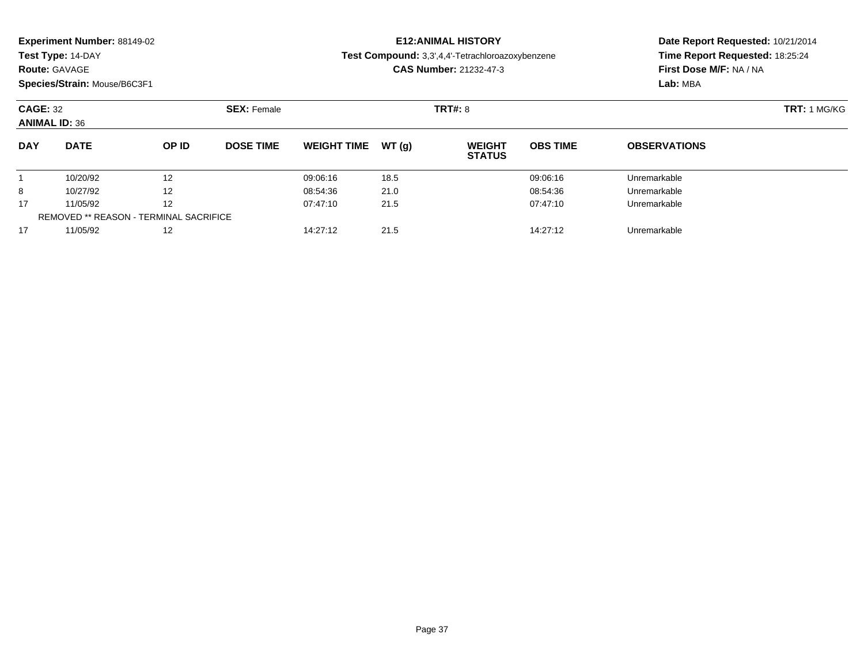**Test Type:** 14-DAY

### **Route:** GAVAGE

**Species/Strain:** Mouse/B6C3F1

## **E12:ANIMAL HISTORY**

**Test Compound:** 3,3',4,4'-Tetrachloroazoxybenzene

**CAS Number:** 21232-47-3

| <b>CAGE: 32</b><br><b>ANIMAL ID: 36</b> |                                               |       | <b>SEX: Female</b> |                    |       |                                | <b>TRT#: 8</b>  |                     |  |  |  |
|-----------------------------------------|-----------------------------------------------|-------|--------------------|--------------------|-------|--------------------------------|-----------------|---------------------|--|--|--|
| <b>DAY</b>                              | <b>DATE</b>                                   | OP ID | <b>DOSE TIME</b>   | <b>WEIGHT TIME</b> | WT(q) | <b>WEIGHT</b><br><b>STATUS</b> | <b>OBS TIME</b> | <b>OBSERVATIONS</b> |  |  |  |
|                                         | 10/20/92                                      | 12    |                    | 09:06:16           | 18.5  |                                | 09:06:16        | Unremarkable        |  |  |  |
| 8                                       | 10/27/92                                      | 12    |                    | 08:54:36           | 21.0  |                                | 08:54:36        | Unremarkable        |  |  |  |
| 17                                      | 11/05/92                                      | 12    |                    | 07:47:10           | 21.5  |                                | 07:47:10        | Unremarkable        |  |  |  |
|                                         | <b>REMOVED ** REASON - TERMINAL SACRIFICE</b> |       |                    |                    |       |                                |                 |                     |  |  |  |
| 17                                      | 11/05/92                                      | 12    |                    | 14:27:12           | 21.5  |                                | 14:27:12        | Unremarkable        |  |  |  |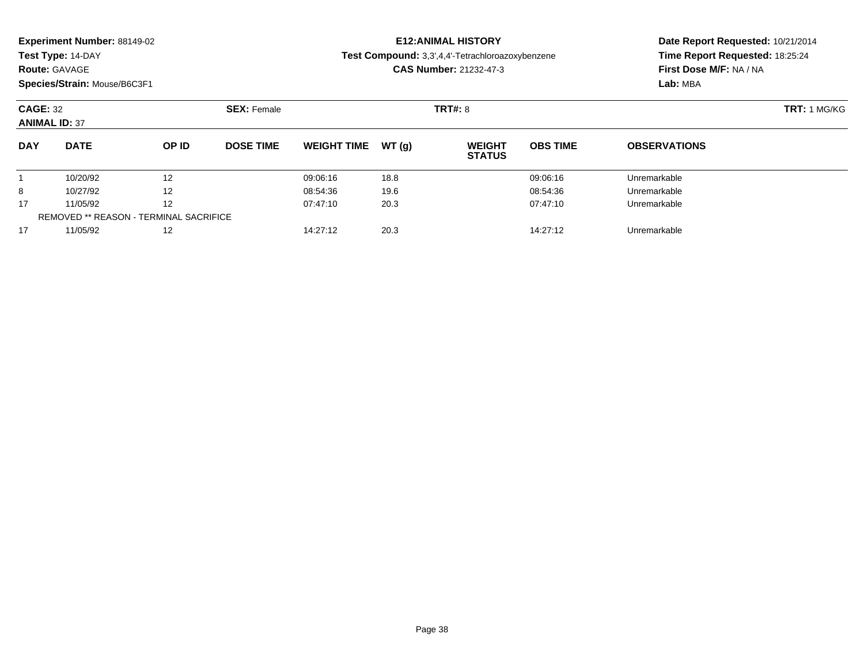**Test Type:** 14-DAY

#### **Route:** GAVAGE

**Species/Strain:** Mouse/B6C3F1

## **E12:ANIMAL HISTORY**

**Test Compound:** 3,3',4,4'-Tetrachloroazoxybenzene

**CAS Number:** 21232-47-3

|            | <b>CAGE: 32</b><br><b>ANIMAL ID: 37</b>       |       | <b>SEX: Female</b> |                    |       |                                | <b>TRT#: 8</b>  |                     |  |  |
|------------|-----------------------------------------------|-------|--------------------|--------------------|-------|--------------------------------|-----------------|---------------------|--|--|
| <b>DAY</b> | <b>DATE</b>                                   | OP ID | <b>DOSE TIME</b>   | <b>WEIGHT TIME</b> | WT(q) | <b>WEIGHT</b><br><b>STATUS</b> | <b>OBS TIME</b> | <b>OBSERVATIONS</b> |  |  |
|            | 10/20/92                                      | 12    |                    | 09:06:16           | 18.8  |                                | 09:06:16        | Unremarkable        |  |  |
| 8          | 10/27/92                                      | 12    |                    | 08:54:36           | 19.6  |                                | 08:54:36        | Unremarkable        |  |  |
| 17         | 11/05/92                                      | 12    |                    | 07:47:10           | 20.3  |                                | 07:47:10        | Unremarkable        |  |  |
|            | <b>REMOVED ** REASON - TERMINAL SACRIFICE</b> |       |                    |                    |       |                                |                 |                     |  |  |
| 17         | 11/05/92                                      | 12    |                    | 14:27:12           | 20.3  |                                | 14:27:12        | Unremarkable        |  |  |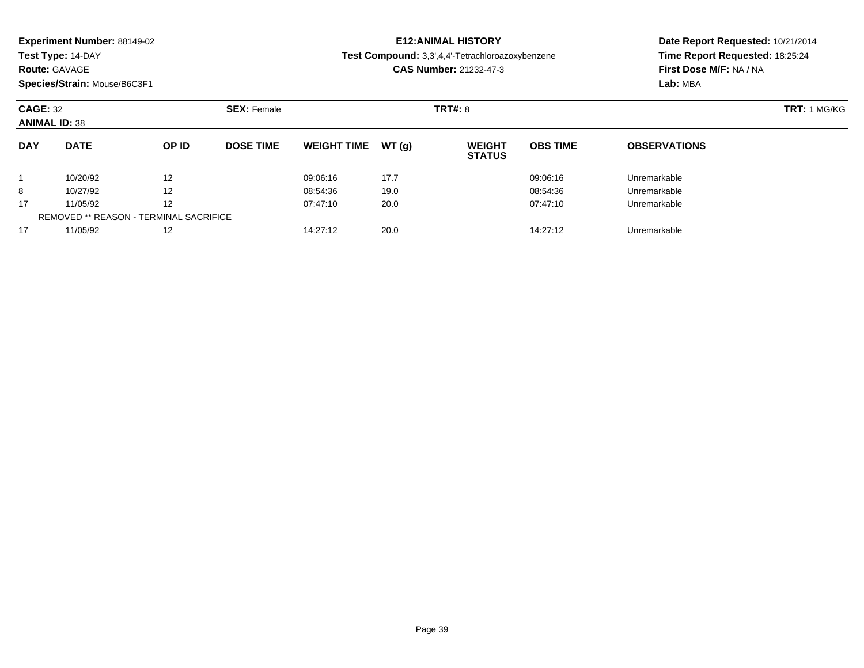**Test Type:** 14-DAY

### **Route:** GAVAGE

**Species/Strain:** Mouse/B6C3F1

## **E12:ANIMAL HISTORY**

**Test Compound:** 3,3',4,4'-Tetrachloroazoxybenzene

**CAS Number:** 21232-47-3

|            | <b>CAGE: 32</b><br><b>SEX: Female</b><br><b>ANIMAL ID: 38</b> |       |                  |                    |       | <b>TRT#: 8</b>                 |                 | <b>TRT: 1 MG/KG</b> |  |  |
|------------|---------------------------------------------------------------|-------|------------------|--------------------|-------|--------------------------------|-----------------|---------------------|--|--|
| <b>DAY</b> | <b>DATE</b>                                                   | OP ID | <b>DOSE TIME</b> | <b>WEIGHT TIME</b> | WT(q) | <b>WEIGHT</b><br><b>STATUS</b> | <b>OBS TIME</b> | <b>OBSERVATIONS</b> |  |  |
|            | 10/20/92                                                      | 12    |                  | 09:06:16           | 17.7  |                                | 09:06:16        | Unremarkable        |  |  |
| 8          | 10/27/92                                                      | 12    |                  | 08:54:36           | 19.0  |                                | 08:54:36        | Unremarkable        |  |  |
| 17         | 11/05/92                                                      | 12    |                  | 07:47:10           | 20.0  |                                | 07:47:10        | Unremarkable        |  |  |
|            | <b>REMOVED ** REASON - TERMINAL SACRIFICE</b>                 |       |                  |                    |       |                                |                 |                     |  |  |
| 17         | 11/05/92                                                      | 12    |                  | 14:27:12           | 20.0  |                                | 14:27:12        | Unremarkable        |  |  |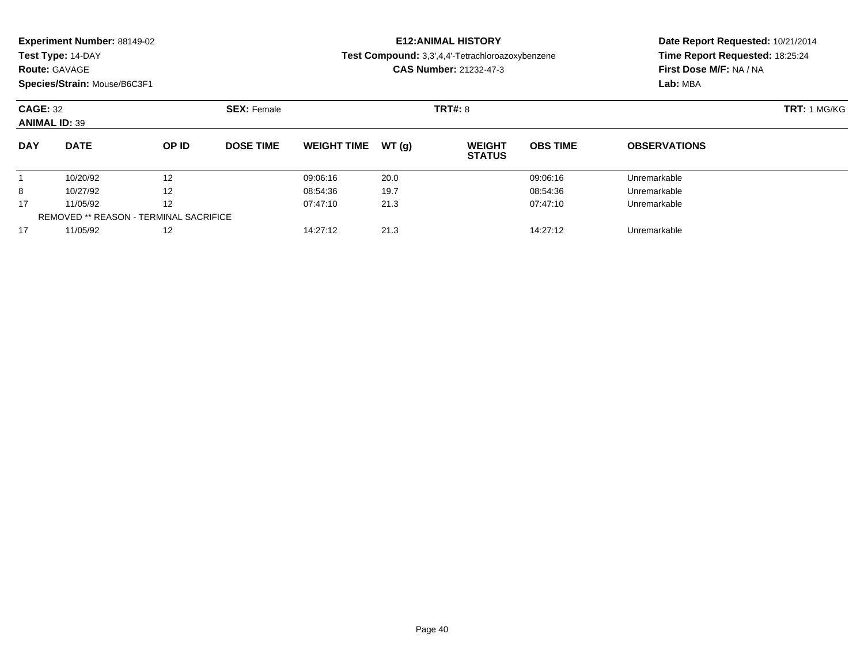**Test Type:** 14-DAY

### **Route:** GAVAGE

**Species/Strain:** Mouse/B6C3F1

## **E12:ANIMAL HISTORY**

**Test Compound:** 3,3',4,4'-Tetrachloroazoxybenzene

**CAS Number:** 21232-47-3

|            | <b>CAGE: 32</b><br><b>ANIMAL ID: 39</b>       |       | <b>SEX: Female</b> |                    |       |                                | <b>TRT#: 8</b>  |                     |  |  |
|------------|-----------------------------------------------|-------|--------------------|--------------------|-------|--------------------------------|-----------------|---------------------|--|--|
| <b>DAY</b> | <b>DATE</b>                                   | OP ID | <b>DOSE TIME</b>   | <b>WEIGHT TIME</b> | WT(q) | <b>WEIGHT</b><br><b>STATUS</b> | <b>OBS TIME</b> | <b>OBSERVATIONS</b> |  |  |
|            | 10/20/92                                      | 12    |                    | 09:06:16           | 20.0  |                                | 09:06:16        | Unremarkable        |  |  |
| 8          | 10/27/92                                      | 12    |                    | 08:54:36           | 19.7  |                                | 08:54:36        | Unremarkable        |  |  |
| 17         | 11/05/92                                      | 12    |                    | 07:47:10           | 21.3  |                                | 07:47:10        | Unremarkable        |  |  |
|            | <b>REMOVED ** REASON - TERMINAL SACRIFICE</b> |       |                    |                    |       |                                |                 |                     |  |  |
| 17         | 11/05/92                                      | 12    |                    | 14:27:12           | 21.3  |                                | 14:27:12        | Unremarkable        |  |  |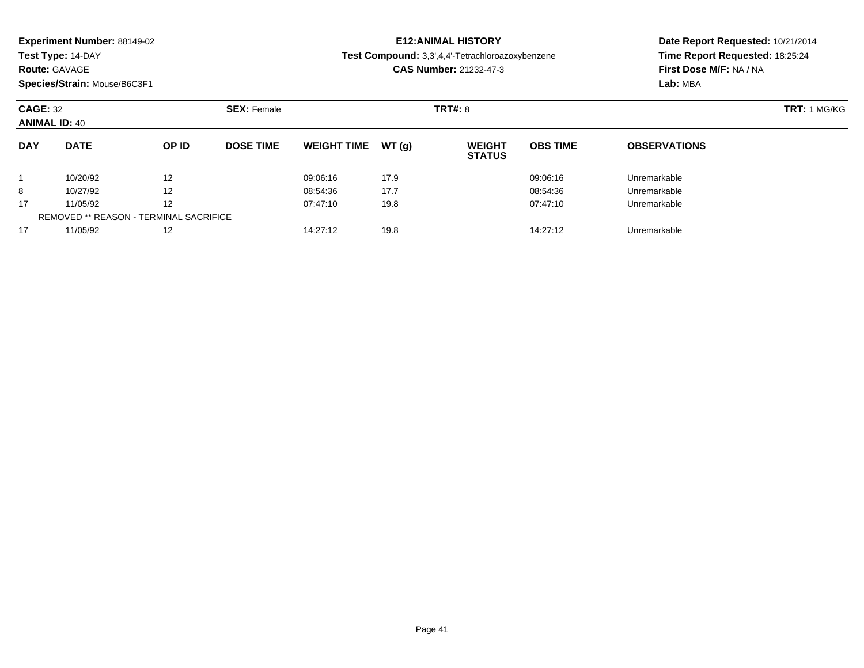**Test Type:** 14-DAY

### **Route:** GAVAGE

**Species/Strain:** Mouse/B6C3F1

## **E12:ANIMAL HISTORY**

**Test Compound:** 3,3',4,4'-Tetrachloroazoxybenzene

**CAS Number:** 21232-47-3

|            | <b>CAGE: 32</b><br><b>ANIMAL ID: 40</b>       |       |                  | <b>SEX: Female</b> |       |                                | <b>TRT#: 8</b>  |                     |  |  |
|------------|-----------------------------------------------|-------|------------------|--------------------|-------|--------------------------------|-----------------|---------------------|--|--|
| <b>DAY</b> | <b>DATE</b>                                   | OP ID | <b>DOSE TIME</b> | <b>WEIGHT TIME</b> | WT(q) | <b>WEIGHT</b><br><b>STATUS</b> | <b>OBS TIME</b> | <b>OBSERVATIONS</b> |  |  |
|            | 10/20/92                                      | 12    |                  | 09:06:16           | 17.9  |                                | 09:06:16        | Unremarkable        |  |  |
| 8          | 10/27/92                                      | 12    |                  | 08:54:36           | 17.7  |                                | 08:54:36        | Unremarkable        |  |  |
| 17         | 11/05/92                                      | 12    |                  | 07:47:10           | 19.8  |                                | 07:47:10        | Unremarkable        |  |  |
|            | <b>REMOVED ** REASON - TERMINAL SACRIFICE</b> |       |                  |                    |       |                                |                 |                     |  |  |
| 17         | 11/05/92                                      | 12    |                  | 14:27:12           | 19.8  |                                | 14:27:12        | Unremarkable        |  |  |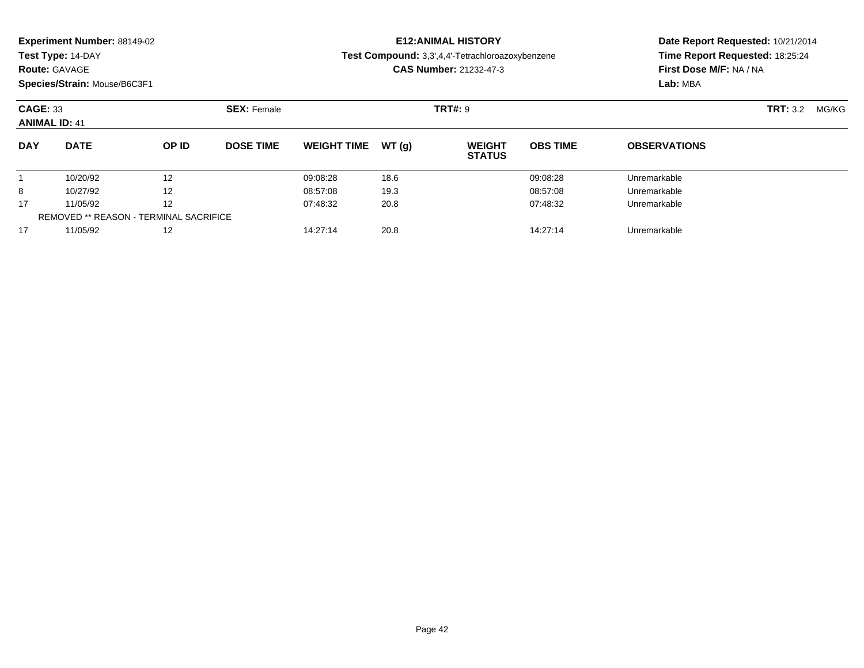| <b>Experiment Number: 88149-02</b> |  |  |
|------------------------------------|--|--|
|------------------------------------|--|--|

**Route:** GAVAGE

**Species/Strain:** Mouse/B6C3F1

# **E12:ANIMAL HISTORY**

**Test Compound:** 3,3',4,4'-Tetrachloroazoxybenzene

**CAS Number:** 21232-47-3

| <b>CAGE: 33</b><br><b>ANIMAL ID: 41</b> |                                               |                   | <b>SEX: Female</b> |                    |       | <b>TRT#: 9</b>                 |                 |                     | <b>TRT: 3.2</b><br>MG/KG |  |
|-----------------------------------------|-----------------------------------------------|-------------------|--------------------|--------------------|-------|--------------------------------|-----------------|---------------------|--------------------------|--|
| <b>DAY</b>                              | <b>DATE</b>                                   | OP ID             | <b>DOSE TIME</b>   | <b>WEIGHT TIME</b> | WT(q) | <b>WEIGHT</b><br><b>STATUS</b> | <b>OBS TIME</b> | <b>OBSERVATIONS</b> |                          |  |
|                                         | 10/20/92                                      | 12                |                    | 09:08:28           | 18.6  |                                | 09:08:28        | Unremarkable        |                          |  |
| 8                                       | 10/27/92                                      | $12 \overline{ }$ |                    | 08:57:08           | 19.3  |                                | 08:57:08        | Unremarkable        |                          |  |
| 17                                      | 11/05/92                                      | $12 \overline{ }$ |                    | 07:48:32           | 20.8  |                                | 07:48:32        | Unremarkable        |                          |  |
|                                         | <b>REMOVED ** REASON - TERMINAL SACRIFICE</b> |                   |                    |                    |       |                                |                 |                     |                          |  |
| 17                                      | 11/05/92                                      | 12                |                    | 14:27:14           | 20.8  |                                | 14:27:14        | Unremarkable        |                          |  |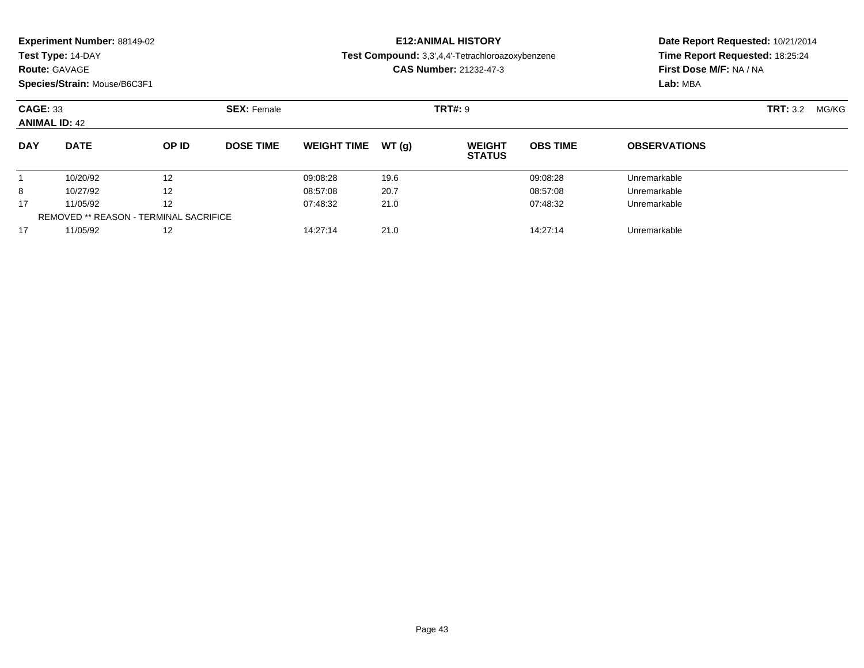**Test Type:** 14-DAY

### **Route:** GAVAGE

**Species/Strain:** Mouse/B6C3F1

# **E12:ANIMAL HISTORY**

**Test Compound:** 3,3',4,4'-Tetrachloroazoxybenzene

**CAS Number:** 21232-47-3

| <b>CAGE: 33</b><br><b>ANIMAL ID: 42</b> |                                               |       | <b>SEX: Female</b> |                    |        | <b>TRT#: 9</b>                 |                 |                     | <b>TRT:</b> 3.2 | MG/KG |
|-----------------------------------------|-----------------------------------------------|-------|--------------------|--------------------|--------|--------------------------------|-----------------|---------------------|-----------------|-------|
| <b>DAY</b>                              | <b>DATE</b>                                   | OP ID | <b>DOSE TIME</b>   | <b>WEIGHT TIME</b> | WT (a) | <b>WEIGHT</b><br><b>STATUS</b> | <b>OBS TIME</b> | <b>OBSERVATIONS</b> |                 |       |
|                                         | 10/20/92                                      | 12    |                    | 09:08:28           | 19.6   |                                | 09:08:28        | Unremarkable        |                 |       |
| 8                                       | 10/27/92                                      | 12    |                    | 08:57:08           | 20.7   |                                | 08:57:08        | Unremarkable        |                 |       |
| 17                                      | 11/05/92                                      | 12    |                    | 07:48:32           | 21.0   |                                | 07:48:32        | Unremarkable        |                 |       |
|                                         | <b>REMOVED ** REASON - TERMINAL SACRIFICE</b> |       |                    |                    |        |                                |                 |                     |                 |       |
| 17                                      | 11/05/92                                      | 12    |                    | 14:27:14           | 21.0   |                                | 14:27:14        | Unremarkable        |                 |       |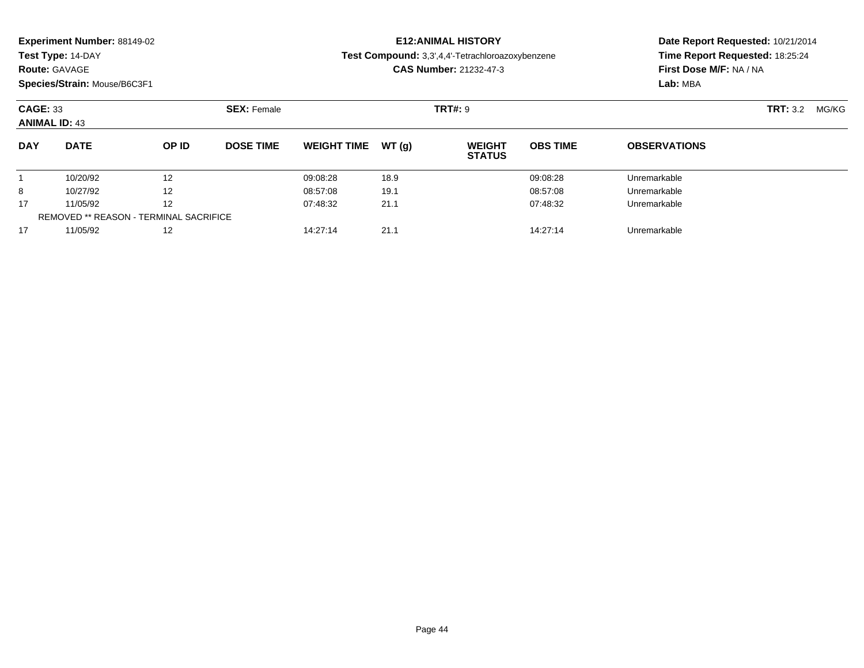**Test Type:** 14-DAY

### **Route:** GAVAGE

**Species/Strain:** Mouse/B6C3F1

# **E12:ANIMAL HISTORY**

**Test Compound:** 3,3',4,4'-Tetrachloroazoxybenzene

**CAS Number:** 21232-47-3

|            | <b>CAGE: 33</b><br><b>ANIMAL ID: 43</b>       |       | <b>SEX: Female</b> |                    |       | <b>TRT#: 9</b>                 |                 |                     | <b>TRT:</b> 3.2 | MG/KG |
|------------|-----------------------------------------------|-------|--------------------|--------------------|-------|--------------------------------|-----------------|---------------------|-----------------|-------|
| <b>DAY</b> | <b>DATE</b>                                   | OP ID | <b>DOSE TIME</b>   | <b>WEIGHT TIME</b> | WT(a) | <b>WEIGHT</b><br><b>STATUS</b> | <b>OBS TIME</b> | <b>OBSERVATIONS</b> |                 |       |
|            | 10/20/92                                      | 12    |                    | 09:08:28           | 18.9  |                                | 09:08:28        | Unremarkable        |                 |       |
| 8          | 10/27/92                                      | 12    |                    | 08:57:08           | 19.1  |                                | 08:57:08        | Unremarkable        |                 |       |
| 17         | 11/05/92                                      | 12    |                    | 07:48:32           | 21.1  |                                | 07:48:32        | Unremarkable        |                 |       |
|            | <b>REMOVED ** REASON - TERMINAL SACRIFICE</b> |       |                    |                    |       |                                |                 |                     |                 |       |
| 17         | 11/05/92                                      | 12    |                    | 14:27:14           | 21.1  |                                | 14:27:14        | Unremarkable        |                 |       |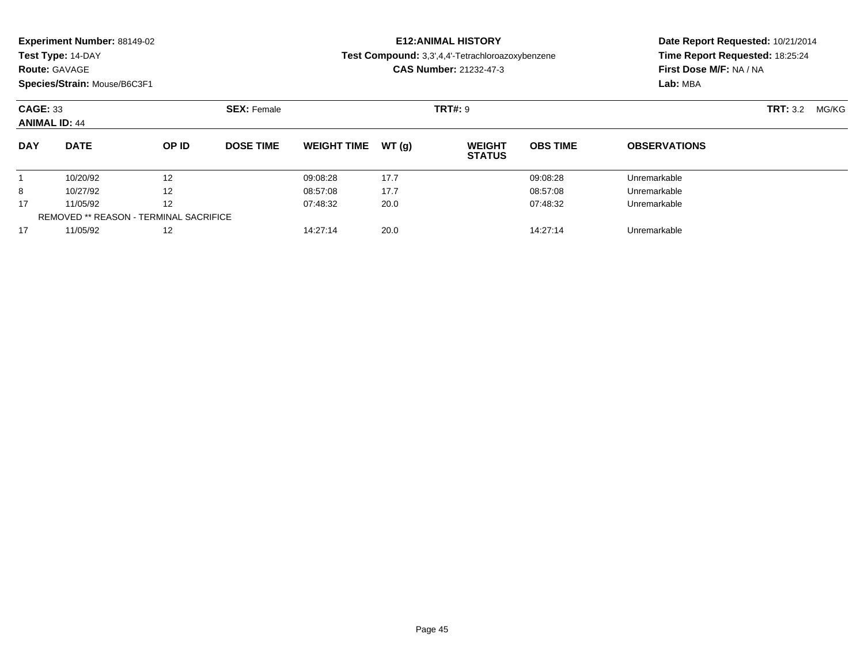| <b>Experiment Number: 88149-02</b> |  |  |
|------------------------------------|--|--|
|------------------------------------|--|--|

**Route:** GAVAGE

**Species/Strain:** Mouse/B6C3F1

# **E12:ANIMAL HISTORY**

**Test Compound:** 3,3',4,4'-Tetrachloroazoxybenzene

**CAS Number:** 21232-47-3

| <b>CAGE: 33</b><br><b>ANIMAL ID: 44</b> |                                               |                   | <b>SEX: Female</b> |                    |       | <b>TRT#: 9</b>                 |                 |                     | <b>TRT: 3.2</b> | MG/KG |
|-----------------------------------------|-----------------------------------------------|-------------------|--------------------|--------------------|-------|--------------------------------|-----------------|---------------------|-----------------|-------|
| <b>DAY</b>                              | <b>DATE</b>                                   | OP ID             | <b>DOSE TIME</b>   | <b>WEIGHT TIME</b> | WT(q) | <b>WEIGHT</b><br><b>STATUS</b> | <b>OBS TIME</b> | <b>OBSERVATIONS</b> |                 |       |
|                                         | 10/20/92                                      | 12                |                    | 09:08:28           | 17.7  |                                | 09:08:28        | Unremarkable        |                 |       |
| 8                                       | 10/27/92                                      | $12 \overline{ }$ |                    | 08:57:08           | 17.7  |                                | 08:57:08        | Unremarkable        |                 |       |
| 17                                      | 11/05/92                                      | $12 \overline{ }$ |                    | 07:48:32           | 20.0  |                                | 07:48:32        | Unremarkable        |                 |       |
|                                         | <b>REMOVED ** REASON - TERMINAL SACRIFICE</b> |                   |                    |                    |       |                                |                 |                     |                 |       |
| 17                                      | 11/05/92                                      | 12                |                    | 14:27:14           | 20.0  |                                | 14:27:14        | Unremarkable        |                 |       |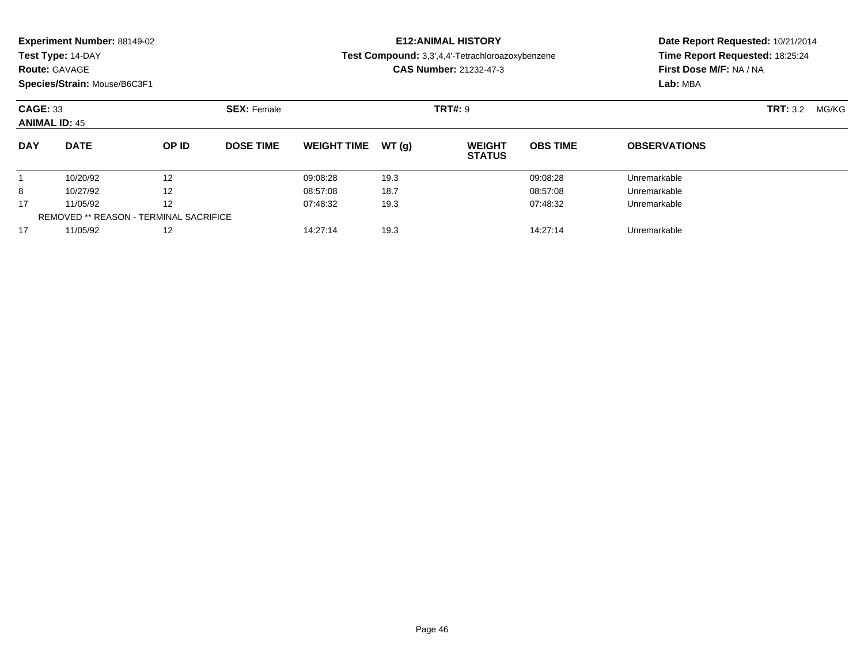**Test Type:** 14-DAY

### **Route:** GAVAGE

**Species/Strain:** Mouse/B6C3F1

# **E12:ANIMAL HISTORY**

**Test Compound:** 3,3',4,4'-Tetrachloroazoxybenzene

**CAS Number:** 21232-47-3

|            | <b>CAGE: 33</b><br><b>ANIMAL ID: 45</b>       |       | <b>SEX: Female</b> |                    | <b>TRT:</b> 3.2<br>MG/KG |                                |                 |                     |  |
|------------|-----------------------------------------------|-------|--------------------|--------------------|--------------------------|--------------------------------|-----------------|---------------------|--|
| <b>DAY</b> | <b>DATE</b>                                   | OP ID | <b>DOSE TIME</b>   | <b>WEIGHT TIME</b> | WT (a)                   | <b>WEIGHT</b><br><b>STATUS</b> | <b>OBS TIME</b> | <b>OBSERVATIONS</b> |  |
|            | 10/20/92                                      | 12    |                    | 09:08:28           | 19.3                     |                                | 09:08:28        | Unremarkable        |  |
| 8          | 10/27/92                                      | 12    |                    | 08:57:08           | 18.7                     |                                | 08:57:08        | Unremarkable        |  |
| 17         | 11/05/92                                      | 12    |                    | 07:48:32           | 19.3                     |                                | 07:48:32        | Unremarkable        |  |
|            | <b>REMOVED ** REASON - TERMINAL SACRIFICE</b> |       |                    |                    |                          |                                |                 |                     |  |
| 17         | 11/05/92                                      | 12    |                    | 14:27:14           | 19.3                     |                                | 14:27:14        | Unremarkable        |  |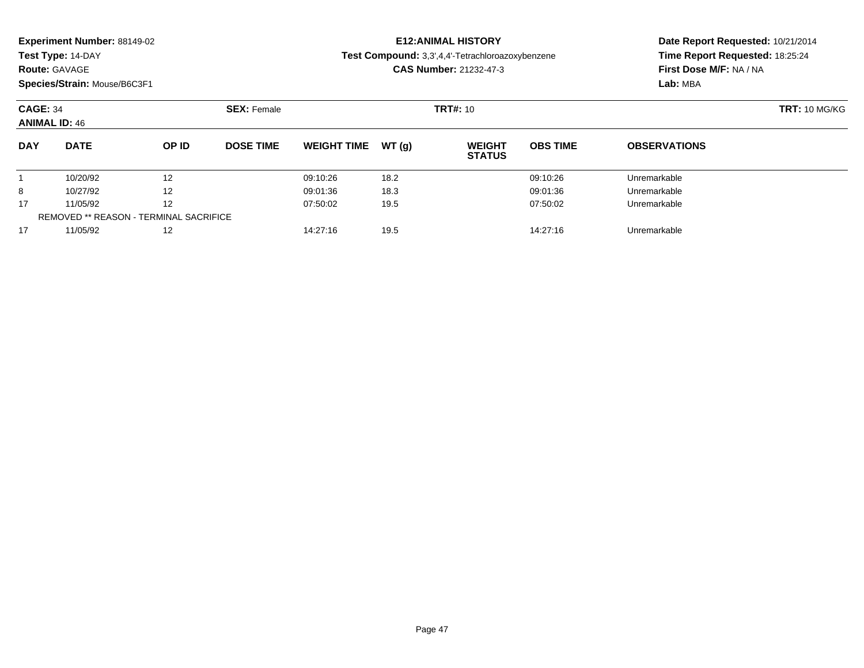|  |  | Experiment Number: 88149-02 |  |
|--|--|-----------------------------|--|
|--|--|-----------------------------|--|

**Route:** GAVAGE

**Species/Strain:** Mouse/B6C3F1

# **E12:ANIMAL HISTORY**

**Test Compound:** 3,3',4,4'-Tetrachloroazoxybenzene

**CAS Number:** 21232-47-3

| <b>CAGE: 34</b><br><b>ANIMAL ID: 46</b> |                                               |       | <b>SEX: Female</b> |                    |        | <b>TRT#:</b> 10                |                 |                     | <b>TRT: 10 MG/KG</b> |
|-----------------------------------------|-----------------------------------------------|-------|--------------------|--------------------|--------|--------------------------------|-----------------|---------------------|----------------------|
| <b>DAY</b>                              | <b>DATE</b>                                   | OP ID | <b>DOSE TIME</b>   | <b>WEIGHT TIME</b> | WT (a) | <b>WEIGHT</b><br><b>STATUS</b> | <b>OBS TIME</b> | <b>OBSERVATIONS</b> |                      |
|                                         | 10/20/92                                      | 12    |                    | 09:10:26           | 18.2   |                                | 09:10:26        | Unremarkable        |                      |
| 8                                       | 10/27/92                                      | 12    |                    | 09:01:36           | 18.3   |                                | 09:01:36        | Unremarkable        |                      |
| 17                                      | 11/05/92                                      | 12    |                    | 07:50:02           | 19.5   |                                | 07:50:02        | Unremarkable        |                      |
|                                         | <b>REMOVED ** REASON - TERMINAL SACRIFICE</b> |       |                    |                    |        |                                |                 |                     |                      |
| 17                                      | 11/05/92                                      | 12    |                    | 14:27:16           | 19.5   |                                | 14:27:16        | Unremarkable        |                      |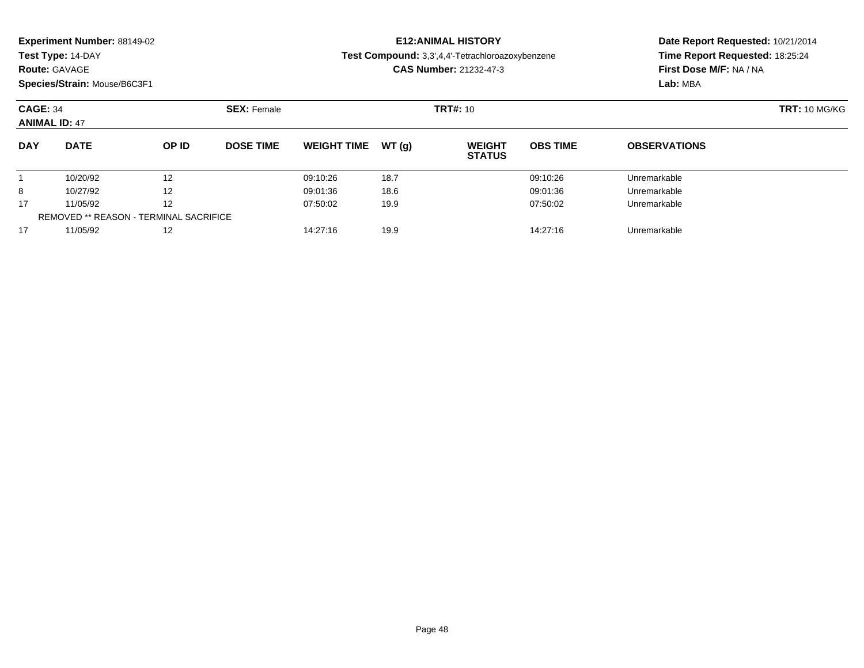|  |  | Experiment Number: 88149-02 |  |
|--|--|-----------------------------|--|
|--|--|-----------------------------|--|

### **Route:** GAVAGE

**Species/Strain:** Mouse/B6C3F1

# **E12:ANIMAL HISTORY**

**Test Compound:** 3,3',4,4'-Tetrachloroazoxybenzene

**CAS Number:** 21232-47-3

| <b>CAGE: 34</b><br><b>ANIMAL ID: 47</b> |                                               |              | <b>SEX: Female</b> |                    |       | <b>TRT#: 10</b>                |                 |                     | <b>TRT: 10 MG/KG</b> |
|-----------------------------------------|-----------------------------------------------|--------------|--------------------|--------------------|-------|--------------------------------|-----------------|---------------------|----------------------|
| <b>DAY</b>                              | <b>DATE</b>                                   | <b>OP ID</b> | <b>DOSE TIME</b>   | <b>WEIGHT TIME</b> | WT(q) | <b>WEIGHT</b><br><b>STATUS</b> | <b>OBS TIME</b> | <b>OBSERVATIONS</b> |                      |
|                                         | 10/20/92                                      | 12           |                    | 09:10:26           | 18.7  |                                | 09:10:26        | Unremarkable        |                      |
| 8                                       | 10/27/92                                      | 12           |                    | 09:01:36           | 18.6  |                                | 09:01:36        | Unremarkable        |                      |
| 17                                      | 11/05/92                                      | 12           |                    | 07:50:02           | 19.9  |                                | 07:50:02        | Unremarkable        |                      |
|                                         | <b>REMOVED ** REASON - TERMINAL SACRIFICE</b> |              |                    |                    |       |                                |                 |                     |                      |
| 17                                      | 11/05/92                                      | 12           |                    | 14:27:16           | 19.9  |                                | 14:27:16        | Unremarkable        |                      |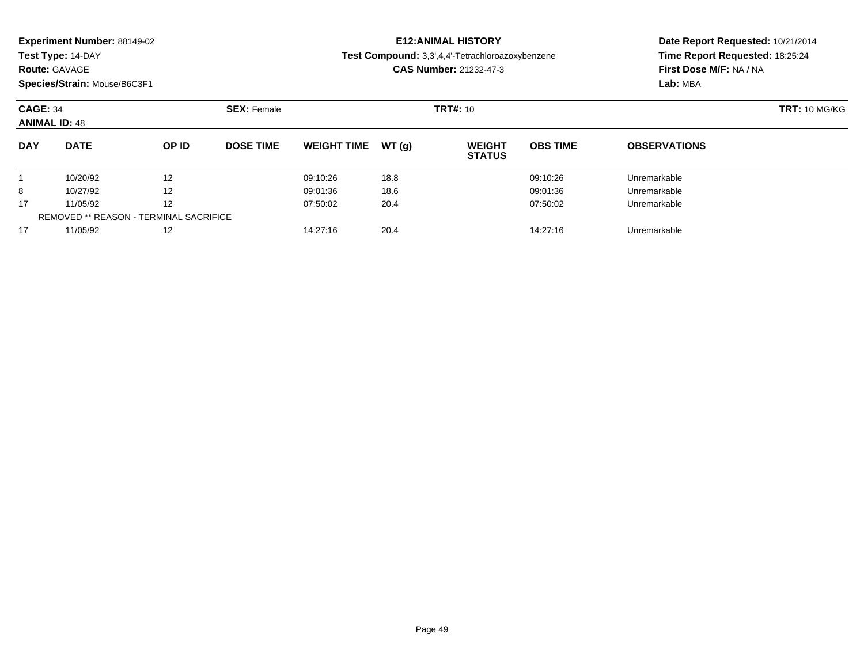|  |  | Experiment Number: 88149-02 |  |
|--|--|-----------------------------|--|
|--|--|-----------------------------|--|

#### **Route:** GAVAGE

**Species/Strain:** Mouse/B6C3F1

# **E12:ANIMAL HISTORY**

**Test Compound:** 3,3',4,4'-Tetrachloroazoxybenzene

**CAS Number:** 21232-47-3

| <b>CAGE: 34</b><br><b>ANIMAL ID: 48</b> |                                               |       | <b>SEX: Female</b> |                    |       | <b>TRT#: 10</b>                |                 |                     | <b>TRT: 10 MG/KG</b> |
|-----------------------------------------|-----------------------------------------------|-------|--------------------|--------------------|-------|--------------------------------|-----------------|---------------------|----------------------|
| <b>DAY</b>                              | <b>DATE</b>                                   | OP ID | <b>DOSE TIME</b>   | <b>WEIGHT TIME</b> | WT(a) | <b>WEIGHT</b><br><b>STATUS</b> | <b>OBS TIME</b> | <b>OBSERVATIONS</b> |                      |
|                                         | 10/20/92                                      | 12    |                    | 09:10:26           | 18.8  |                                | 09:10:26        | Unremarkable        |                      |
| 8                                       | 10/27/92                                      | 12    |                    | 09:01:36           | 18.6  |                                | 09:01:36        | Unremarkable        |                      |
| 17                                      | 11/05/92                                      | 12    |                    | 07:50:02           | 20.4  |                                | 07:50:02        | Unremarkable        |                      |
|                                         | <b>REMOVED ** REASON - TERMINAL SACRIFICE</b> |       |                    |                    |       |                                |                 |                     |                      |
| 17                                      | 11/05/92                                      | 12    |                    | 14:27:16           | 20.4  |                                | 14:27:16        | Unremarkable        |                      |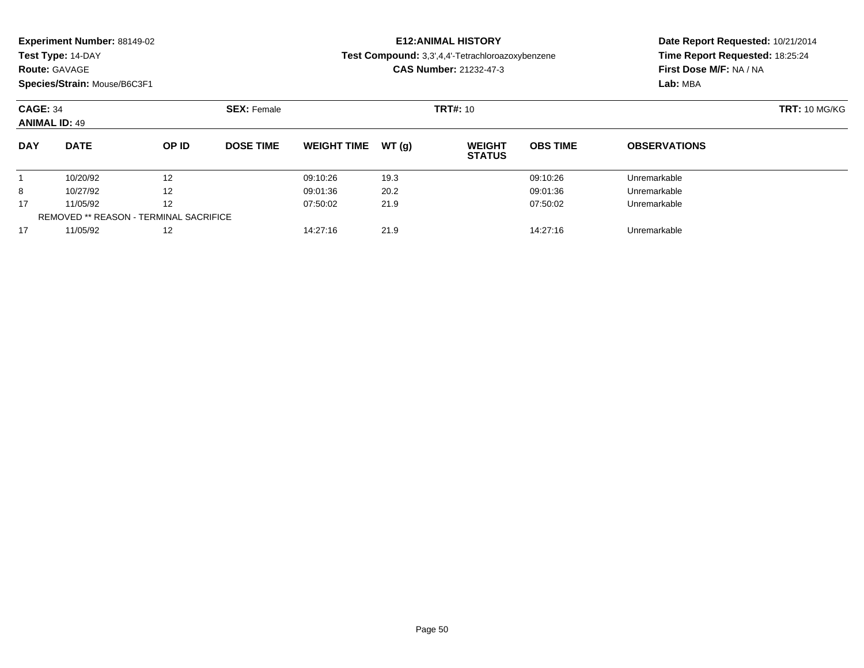| <b>Experiment Number: 88149-02</b> |  |  |
|------------------------------------|--|--|
|------------------------------------|--|--|

**Route:** GAVAGE

**Species/Strain:** Mouse/B6C3F1

# **E12:ANIMAL HISTORY**

**Test Compound:** 3,3',4,4'-Tetrachloroazoxybenzene

**CAS Number:** 21232-47-3

| <b>CAGE: 34</b><br><b>ANIMAL ID: 49</b> |                                               |       | <b>SEX: Female</b> |                    |        | <b>TRT#:</b> 10                |                 |                     | <b>TRT: 10 MG/KG</b> |
|-----------------------------------------|-----------------------------------------------|-------|--------------------|--------------------|--------|--------------------------------|-----------------|---------------------|----------------------|
| <b>DAY</b>                              | <b>DATE</b>                                   | OP ID | <b>DOSE TIME</b>   | <b>WEIGHT TIME</b> | WT (a) | <b>WEIGHT</b><br><b>STATUS</b> | <b>OBS TIME</b> | <b>OBSERVATIONS</b> |                      |
|                                         | 10/20/92                                      | 12    |                    | 09:10:26           | 19.3   |                                | 09:10:26        | Unremarkable        |                      |
| 8                                       | 10/27/92                                      | 12    |                    | 09:01:36           | 20.2   |                                | 09:01:36        | Unremarkable        |                      |
| 17                                      | 11/05/92                                      | 12    |                    | 07:50:02           | 21.9   |                                | 07:50:02        | Unremarkable        |                      |
|                                         | <b>REMOVED ** REASON - TERMINAL SACRIFICE</b> |       |                    |                    |        |                                |                 |                     |                      |
| 17                                      | 11/05/92                                      | 12    |                    | 14:27:16           | 21.9   |                                | 14:27:16        | Unremarkable        |                      |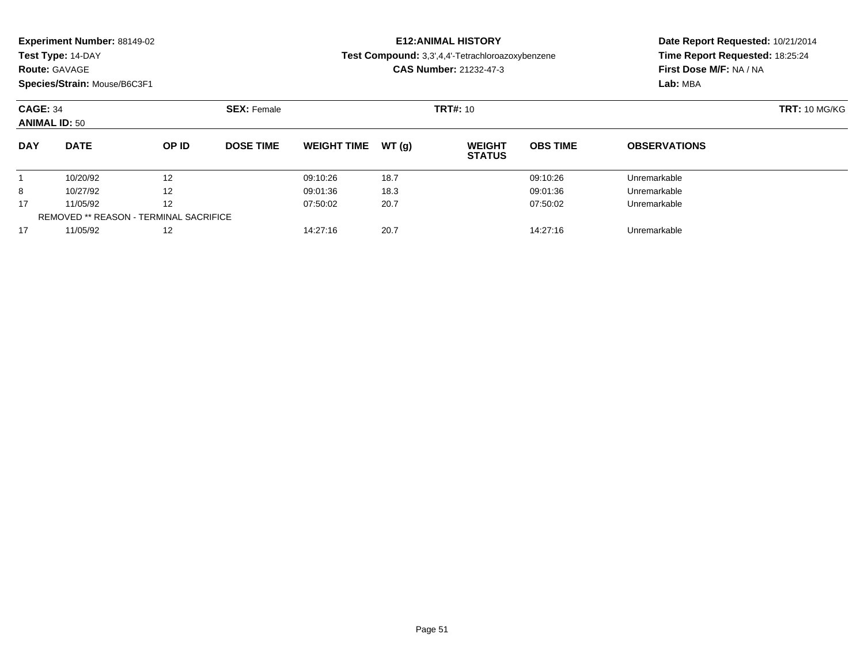| Experiment Number: 88149-02 |  |  |
|-----------------------------|--|--|
|-----------------------------|--|--|

## **Route:** GAVAGE

**Species/Strain:** Mouse/B6C3F1

# **E12:ANIMAL HISTORY**

**Test Compound:** 3,3',4,4'-Tetrachloroazoxybenzene

**CAS Number:** 21232-47-3

| <b>CAGE: 34</b><br><b>ANIMAL ID: 50</b> |                                               |       | <b>SEX: Female</b> |                    |       | <b>TRT#: 10</b>                |                 |                     | <b>TRT: 10 MG/KG</b> |
|-----------------------------------------|-----------------------------------------------|-------|--------------------|--------------------|-------|--------------------------------|-----------------|---------------------|----------------------|
| <b>DAY</b>                              | <b>DATE</b>                                   | OP ID | <b>DOSE TIME</b>   | <b>WEIGHT TIME</b> | WT(a) | <b>WEIGHT</b><br><b>STATUS</b> | <b>OBS TIME</b> | <b>OBSERVATIONS</b> |                      |
|                                         | 10/20/92                                      | 12    |                    | 09:10:26           | 18.7  |                                | 09:10:26        | Unremarkable        |                      |
| 8                                       | 10/27/92                                      | 12    |                    | 09:01:36           | 18.3  |                                | 09:01:36        | Unremarkable        |                      |
| 17                                      | 11/05/92                                      | 12    |                    | 07:50:02           | 20.7  |                                | 07:50:02        | Unremarkable        |                      |
|                                         | <b>REMOVED ** REASON - TERMINAL SACRIFICE</b> |       |                    |                    |       |                                |                 |                     |                      |
| 17                                      | 11/05/92                                      | 12    |                    | 14:27:16           | 20.7  |                                | 14:27:16        | Unremarkable        |                      |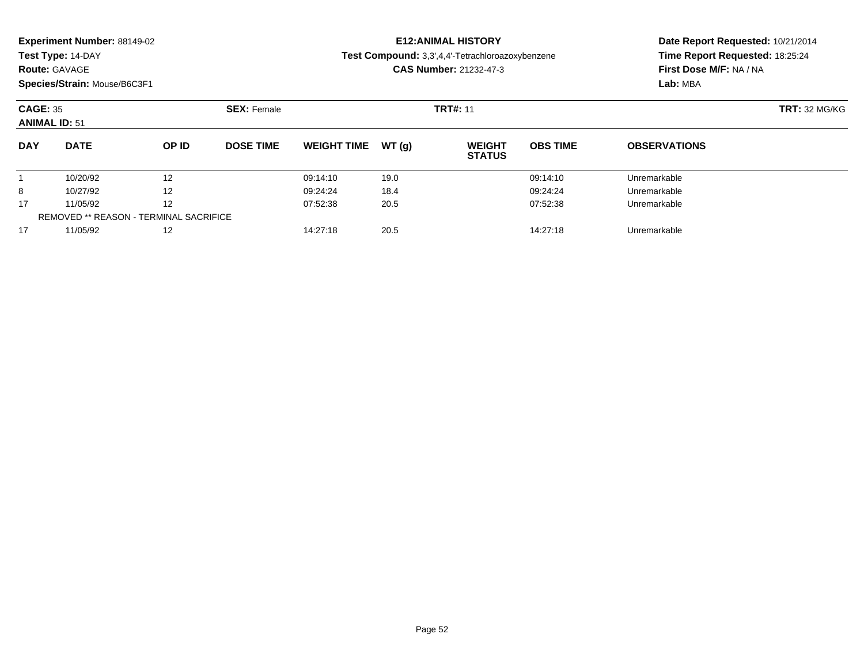| Experiment Number: 88149-02 |  |  |
|-----------------------------|--|--|
|-----------------------------|--|--|

# **Route:** GAVAGE

**Species/Strain:** Mouse/B6C3F1

# **E12:ANIMAL HISTORY**

**Test Compound:** 3,3',4,4'-Tetrachloroazoxybenzene

**CAS Number:** 21232-47-3

| <b>CAGE: 35</b><br><b>ANIMAL ID: 51</b> |                                               |                   | <b>SEX: Female</b> |                    |       | <b>TRT#: 11</b>                |                 |                     | <b>TRT: 32 MG/KG</b> |
|-----------------------------------------|-----------------------------------------------|-------------------|--------------------|--------------------|-------|--------------------------------|-----------------|---------------------|----------------------|
| <b>DAY</b>                              | <b>DATE</b>                                   | OP ID             | <b>DOSE TIME</b>   | <b>WEIGHT TIME</b> | WT(q) | <b>WEIGHT</b><br><b>STATUS</b> | <b>OBS TIME</b> | <b>OBSERVATIONS</b> |                      |
|                                         | 10/20/92                                      | 12                |                    | 09:14:10           | 19.0  |                                | 09:14:10        | Unremarkable        |                      |
| 8                                       | 10/27/92                                      | $12 \overline{ }$ |                    | 09:24:24           | 18.4  |                                | 09:24:24        | Unremarkable        |                      |
| 17                                      | 11/05/92                                      | $12 \overline{ }$ |                    | 07:52:38           | 20.5  |                                | 07:52:38        | Unremarkable        |                      |
|                                         | <b>REMOVED ** REASON - TERMINAL SACRIFICE</b> |                   |                    |                    |       |                                |                 |                     |                      |
| 17                                      | 11/05/92                                      | $12 \overline{ }$ |                    | 14:27:18           | 20.5  |                                | 14:27:18        | Unremarkable        |                      |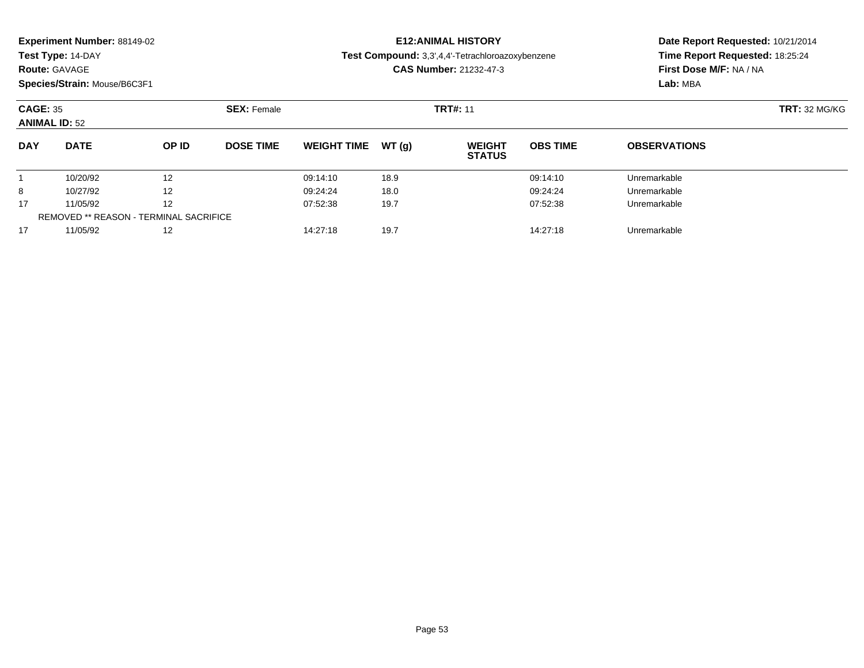|  |  | Experiment Number: 88149-02 |  |
|--|--|-----------------------------|--|
|--|--|-----------------------------|--|

**Route:** GAVAGE

**Species/Strain:** Mouse/B6C3F1

# **E12:ANIMAL HISTORY**

**Test Compound:** 3,3',4,4'-Tetrachloroazoxybenzene

**CAS Number:** 21232-47-3

| <b>CAGE: 35</b><br><b>ANIMAL ID: 52</b> |                                               | <b>SEX: Female</b> |                  |                    | <b>TRT#: 11</b> | <b>TRT: 32 MG/KG</b>           |                 |                     |  |
|-----------------------------------------|-----------------------------------------------|--------------------|------------------|--------------------|-----------------|--------------------------------|-----------------|---------------------|--|
| <b>DAY</b>                              | <b>DATE</b>                                   | OP ID              | <b>DOSE TIME</b> | <b>WEIGHT TIME</b> | WT (a)          | <b>WEIGHT</b><br><b>STATUS</b> | <b>OBS TIME</b> | <b>OBSERVATIONS</b> |  |
|                                         | 10/20/92                                      | 12                 |                  | 09:14:10           | 18.9            |                                | 09:14:10        | Unremarkable        |  |
| 8                                       | 10/27/92                                      | 12                 |                  | 09:24:24           | 18.0            |                                | 09:24:24        | Unremarkable        |  |
| 17                                      | 11/05/92                                      | 12                 |                  | 07:52:38           | 19.7            |                                | 07:52:38        | Unremarkable        |  |
|                                         | <b>REMOVED ** REASON - TERMINAL SACRIFICE</b> |                    |                  |                    |                 |                                |                 |                     |  |
| 17                                      | 11/05/92                                      | 12                 |                  | 14:27:18           | 19.7            |                                | 14:27:18        | Unremarkable        |  |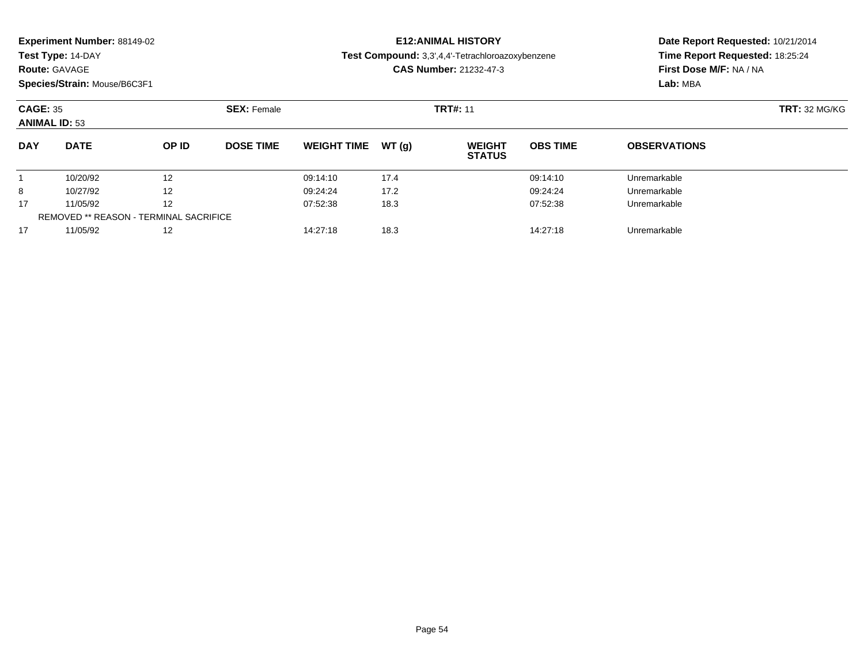| <b>Experiment Number: 88149-02</b> |  |  |
|------------------------------------|--|--|
|------------------------------------|--|--|

**Route:** GAVAGE

**Species/Strain:** Mouse/B6C3F1

# **E12:ANIMAL HISTORY**

**Test Compound:** 3,3',4,4'-Tetrachloroazoxybenzene

**CAS Number:** 21232-47-3

| <b>CAGE: 35</b><br><b>ANIMAL ID: 53</b> |                                               | <b>SEX: Female</b> |                  |                    | <b>TRT#: 11</b> | <b>TRT: 32 MG/KG</b>           |                 |                     |  |
|-----------------------------------------|-----------------------------------------------|--------------------|------------------|--------------------|-----------------|--------------------------------|-----------------|---------------------|--|
| <b>DAY</b>                              | <b>DATE</b>                                   | OP ID              | <b>DOSE TIME</b> | <b>WEIGHT TIME</b> | WT (a)          | <b>WEIGHT</b><br><b>STATUS</b> | <b>OBS TIME</b> | <b>OBSERVATIONS</b> |  |
|                                         | 10/20/92                                      | 12                 |                  | 09:14:10           | 17.4            |                                | 09:14:10        | Unremarkable        |  |
| 8                                       | 10/27/92                                      | 12                 |                  | 09:24:24           | 17.2            |                                | 09:24:24        | Unremarkable        |  |
| 17                                      | 11/05/92                                      | 12                 |                  | 07:52:38           | 18.3            |                                | 07:52:38        | Unremarkable        |  |
|                                         | <b>REMOVED ** REASON - TERMINAL SACRIFICE</b> |                    |                  |                    |                 |                                |                 |                     |  |
| 17                                      | 11/05/92                                      | 12                 |                  | 14:27:18           | 18.3            |                                | 14:27:18        | Unremarkable        |  |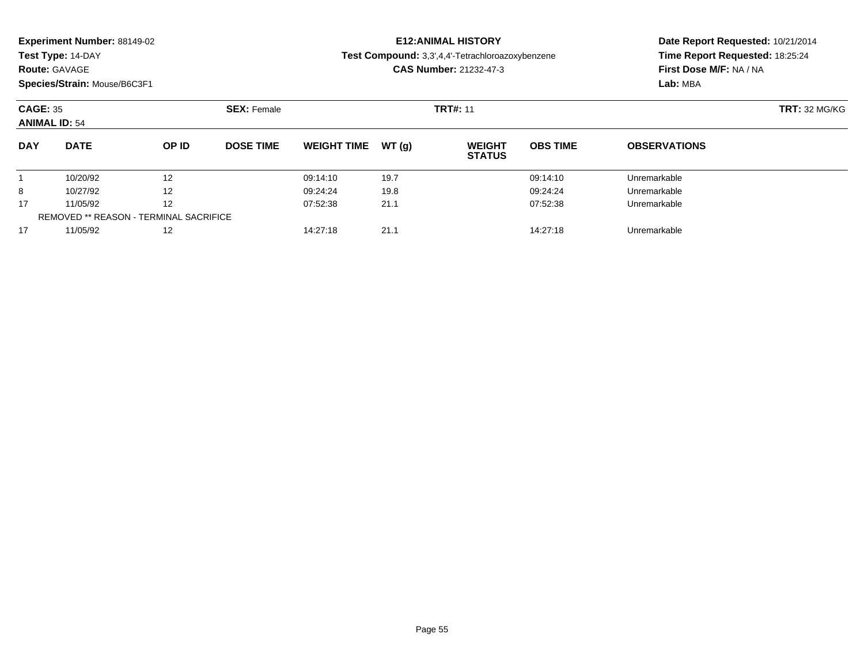| <b>Experiment Number: 88149-02</b> |  |  |
|------------------------------------|--|--|
|------------------------------------|--|--|

**Route:** GAVAGE

**Species/Strain:** Mouse/B6C3F1

# **E12:ANIMAL HISTORY**

**Test Compound:** 3,3',4,4'-Tetrachloroazoxybenzene

**CAS Number:** 21232-47-3

| <b>CAGE: 35</b><br><b>ANIMAL ID: 54</b> |                                               | <b>SEX: Female</b> |                  |                    | <b>TRT#: 11</b> | <b>TRT: 32 MG/KG</b>           |                 |                     |  |
|-----------------------------------------|-----------------------------------------------|--------------------|------------------|--------------------|-----------------|--------------------------------|-----------------|---------------------|--|
| <b>DAY</b>                              | <b>DATE</b>                                   | OP ID              | <b>DOSE TIME</b> | <b>WEIGHT TIME</b> | WT (a)          | <b>WEIGHT</b><br><b>STATUS</b> | <b>OBS TIME</b> | <b>OBSERVATIONS</b> |  |
|                                         | 10/20/92                                      | 12                 |                  | 09:14:10           | 19.7            |                                | 09:14:10        | Unremarkable        |  |
| 8                                       | 10/27/92                                      | 12                 |                  | 09:24:24           | 19.8            |                                | 09:24:24        | Unremarkable        |  |
| 17                                      | 11/05/92                                      | 12                 |                  | 07:52:38           | 21.1            |                                | 07:52:38        | Unremarkable        |  |
|                                         | <b>REMOVED ** REASON - TERMINAL SACRIFICE</b> |                    |                  |                    |                 |                                |                 |                     |  |
| 17                                      | 11/05/92                                      | 12                 |                  | 14:27:18           | 21.1            |                                | 14:27:18        | Unremarkable        |  |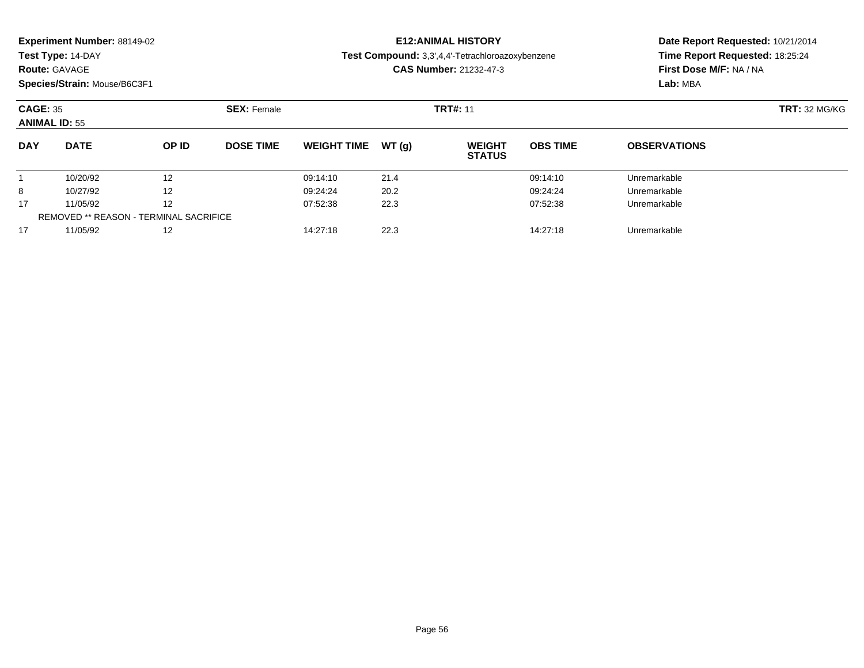| <b>Experiment Number: 88149-02</b> |  |  |
|------------------------------------|--|--|
|------------------------------------|--|--|

**Route:** GAVAGE

**Species/Strain:** Mouse/B6C3F1

# **E12:ANIMAL HISTORY**

**Test Compound:** 3,3',4,4'-Tetrachloroazoxybenzene

**CAS Number:** 21232-47-3

| <b>CAGE: 35</b><br><b>ANIMAL ID: 55</b> |                                               | <b>SEX: Female</b> |                  |                    | <b>TRT#: 11</b> | <b>TRT: 32 MG/KG</b>           |                 |                     |  |
|-----------------------------------------|-----------------------------------------------|--------------------|------------------|--------------------|-----------------|--------------------------------|-----------------|---------------------|--|
| <b>DAY</b>                              | <b>DATE</b>                                   | OP ID              | <b>DOSE TIME</b> | <b>WEIGHT TIME</b> | WT (q)          | <b>WEIGHT</b><br><b>STATUS</b> | <b>OBS TIME</b> | <b>OBSERVATIONS</b> |  |
|                                         | 10/20/92                                      | 12                 |                  | 09:14:10           | 21.4            |                                | 09:14:10        | Unremarkable        |  |
| 8                                       | 10/27/92                                      | 12                 |                  | 09:24:24           | 20.2            |                                | 09:24:24        | Unremarkable        |  |
| 17                                      | 11/05/92                                      | 12                 |                  | 07:52:38           | 22.3            |                                | 07:52:38        | Unremarkable        |  |
|                                         | <b>REMOVED ** REASON - TERMINAL SACRIFICE</b> |                    |                  |                    |                 |                                |                 |                     |  |
| 17                                      | 11/05/92                                      | 12                 |                  | 14:27:18           | 22.3            |                                | 14:27:18        | Unremarkable        |  |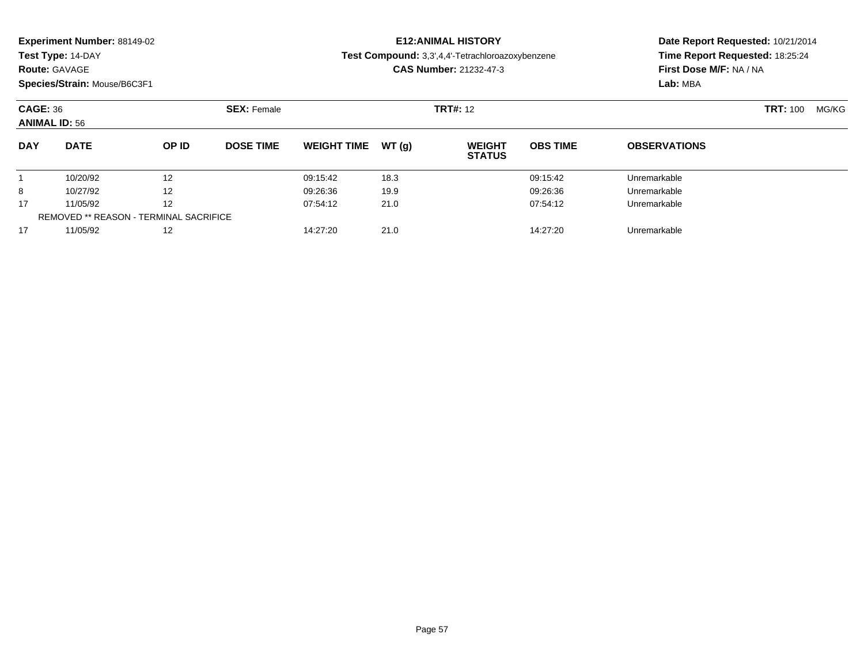|  |  | Experiment Number: 88149-02 |  |
|--|--|-----------------------------|--|
|--|--|-----------------------------|--|

**Route:** GAVAGE

**Species/Strain:** Mouse/B6C3F1

# **E12:ANIMAL HISTORY**

**Test Compound:** 3,3',4,4'-Tetrachloroazoxybenzene

**CAS Number:** 21232-47-3

| <b>CAGE: 36</b><br><b>ANIMAL ID: 56</b> |                                               |              | <b>SEX: Female</b> |                    |        | <b>TRT#: 12</b>                |                 |                     | <b>TRT: 100</b> | MG/KG |
|-----------------------------------------|-----------------------------------------------|--------------|--------------------|--------------------|--------|--------------------------------|-----------------|---------------------|-----------------|-------|
| <b>DAY</b>                              | <b>DATE</b>                                   | <b>OP ID</b> | <b>DOSE TIME</b>   | <b>WEIGHT TIME</b> | WT (a) | <b>WEIGHT</b><br><b>STATUS</b> | <b>OBS TIME</b> | <b>OBSERVATIONS</b> |                 |       |
|                                         | 10/20/92                                      | 12           |                    | 09:15:42           | 18.3   |                                | 09:15:42        | Unremarkable        |                 |       |
| 8                                       | 10/27/92                                      | 12           |                    | 09:26:36           | 19.9   |                                | 09:26:36        | Unremarkable        |                 |       |
| 17                                      | 11/05/92                                      | 12           |                    | 07:54:12           | 21.0   |                                | 07:54:12        | Unremarkable        |                 |       |
|                                         | <b>REMOVED ** REASON - TERMINAL SACRIFICE</b> |              |                    |                    |        |                                |                 |                     |                 |       |
| 17                                      | 11/05/92                                      | 12           |                    | 14:27:20           | 21.0   |                                | 14:27:20        | Unremarkable        |                 |       |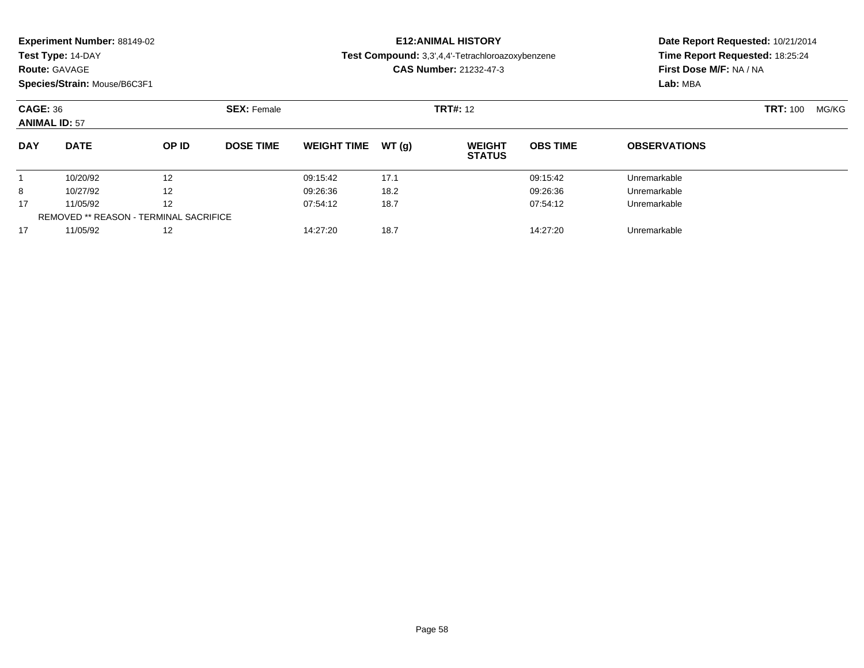|  | Experiment Number: 88149-02 |  |
|--|-----------------------------|--|
|--|-----------------------------|--|

#### **Route:** GAVAGE

**Species/Strain:** Mouse/B6C3F1

# **E12:ANIMAL HISTORY**

**Test Compound:** 3,3',4,4'-Tetrachloroazoxybenzene

**CAS Number:** 21232-47-3

| <b>CAGE: 36</b><br><b>ANIMAL ID: 57</b> |                                               |              | <b>SEX: Female</b> |                    |        | <b>TRT#: 12</b>                |                 |                     | <b>TRT: 100</b> | MG/KG |
|-----------------------------------------|-----------------------------------------------|--------------|--------------------|--------------------|--------|--------------------------------|-----------------|---------------------|-----------------|-------|
| <b>DAY</b>                              | <b>DATE</b>                                   | <b>OP ID</b> | <b>DOSE TIME</b>   | <b>WEIGHT TIME</b> | WT (a) | <b>WEIGHT</b><br><b>STATUS</b> | <b>OBS TIME</b> | <b>OBSERVATIONS</b> |                 |       |
|                                         | 10/20/92                                      | 12           |                    | 09:15:42           | 17.1   |                                | 09:15:42        | Unremarkable        |                 |       |
| 8                                       | 10/27/92                                      | 12           |                    | 09:26:36           | 18.2   |                                | 09:26:36        | Unremarkable        |                 |       |
| 17                                      | 11/05/92                                      | 12           |                    | 07:54:12           | 18.7   |                                | 07:54:12        | Unremarkable        |                 |       |
|                                         | <b>REMOVED ** REASON - TERMINAL SACRIFICE</b> |              |                    |                    |        |                                |                 |                     |                 |       |
| 17                                      | 11/05/92                                      | 12           |                    | 14:27:20           | 18.7   |                                | 14:27:20        | Unremarkable        |                 |       |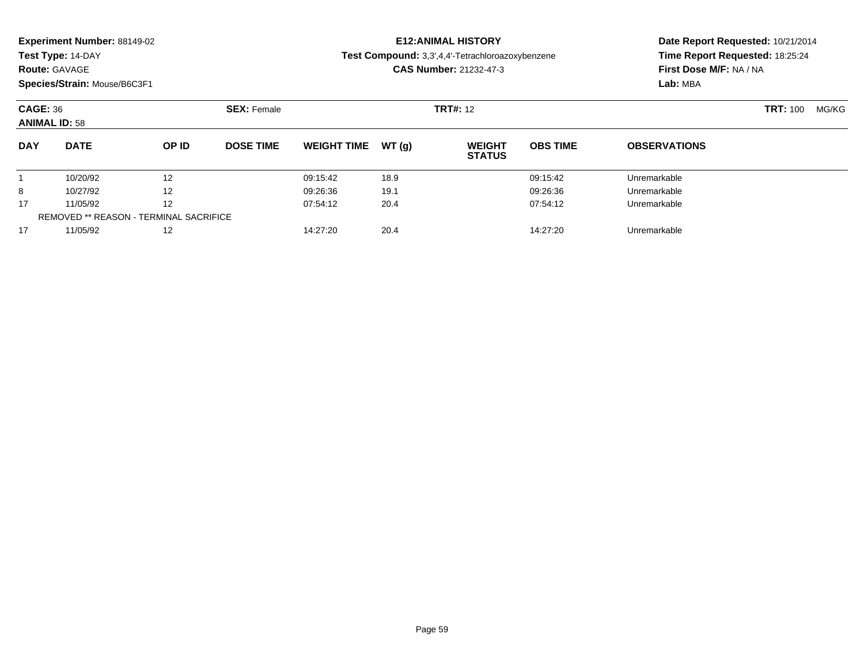|  | Experiment Number: 88149-02 |  |
|--|-----------------------------|--|
|--|-----------------------------|--|

#### **Route:** GAVAGE

**Species/Strain:** Mouse/B6C3F1

# **E12:ANIMAL HISTORY**

**Test Compound:** 3,3',4,4'-Tetrachloroazoxybenzene

**CAS Number:** 21232-47-3

| <b>CAGE: 36</b><br><b>ANIMAL ID: 58</b>       |             | <b>SEX: Female</b> |                  |                    | <b>TRT#: 12</b> |                                |                 | <b>TRT: 100</b>     | MG/KG |  |
|-----------------------------------------------|-------------|--------------------|------------------|--------------------|-----------------|--------------------------------|-----------------|---------------------|-------|--|
| <b>DAY</b>                                    | <b>DATE</b> | <b>OP ID</b>       | <b>DOSE TIME</b> | <b>WEIGHT TIME</b> | WT (a)          | <b>WEIGHT</b><br><b>STATUS</b> | <b>OBS TIME</b> | <b>OBSERVATIONS</b> |       |  |
|                                               | 10/20/92    | 12                 |                  | 09:15:42           | 18.9            |                                | 09:15:42        | Unremarkable        |       |  |
| 8                                             | 10/27/92    | 12                 |                  | 09:26:36           | 19.1            |                                | 09:26:36        | Unremarkable        |       |  |
| 17                                            | 11/05/92    | 12                 |                  | 07:54:12           | 20.4            |                                | 07:54:12        | Unremarkable        |       |  |
| <b>REMOVED ** REASON - TERMINAL SACRIFICE</b> |             |                    |                  |                    |                 |                                |                 |                     |       |  |
| 17                                            | 11/05/92    | 12                 |                  | 14:27:20           | 20.4            |                                | 14:27:20        | Unremarkable        |       |  |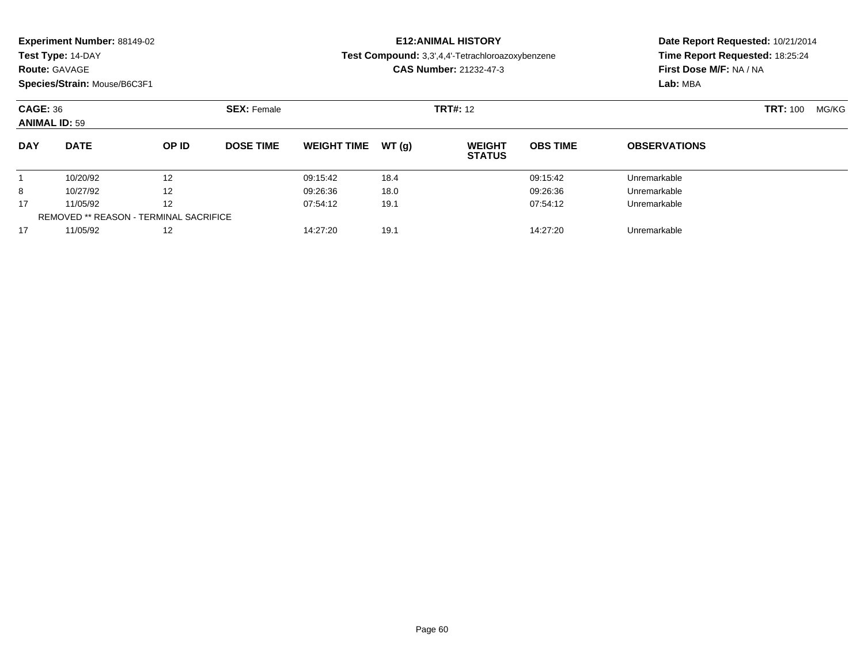|  |  | Experiment Number: 88149-02 |  |
|--|--|-----------------------------|--|
|--|--|-----------------------------|--|

**Route:** GAVAGE

**Species/Strain:** Mouse/B6C3F1

# **E12:ANIMAL HISTORY**

**Test Compound:** 3,3',4,4'-Tetrachloroazoxybenzene

**CAS Number:** 21232-47-3

| <b>CAGE: 36</b><br><b>ANIMAL ID: 59</b> |                                               | <b>SEX: Female</b> |                  |                    | <b>TRT#:</b> 12 | <b>TRT: 100</b>                | MG/KG           |                     |  |  |
|-----------------------------------------|-----------------------------------------------|--------------------|------------------|--------------------|-----------------|--------------------------------|-----------------|---------------------|--|--|
| <b>DAY</b>                              | <b>DATE</b>                                   | OP ID              | <b>DOSE TIME</b> | <b>WEIGHT TIME</b> | WT(g)           | <b>WEIGHT</b><br><b>STATUS</b> | <b>OBS TIME</b> | <b>OBSERVATIONS</b> |  |  |
|                                         | 10/20/92                                      | 12                 |                  | 09:15:42           | 18.4            |                                | 09:15:42        | Unremarkable        |  |  |
| 8                                       | 10/27/92                                      | 12                 |                  | 09:26:36           | 18.0            |                                | 09:26:36        | Unremarkable        |  |  |
| 17                                      | 11/05/92                                      | 12                 |                  | 07:54:12           | 19.1            |                                | 07:54:12        | Unremarkable        |  |  |
|                                         | <b>REMOVED ** REASON - TERMINAL SACRIFICE</b> |                    |                  |                    |                 |                                |                 |                     |  |  |
| 17                                      | 11/05/92                                      | 12                 |                  | 14:27:20           | 19.1            |                                | 14:27:20        | Unremarkable        |  |  |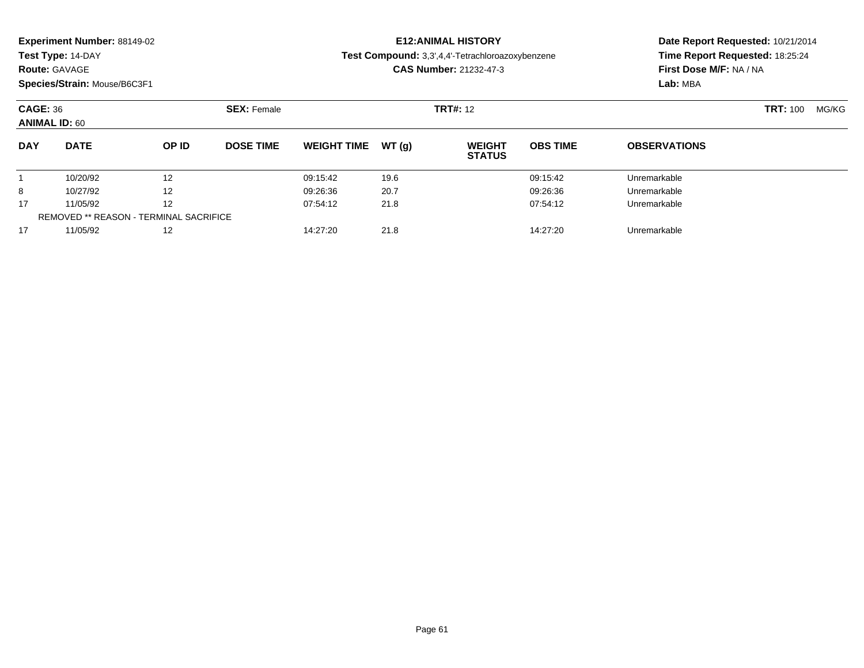|  | Experiment Number: 88149-02 |
|--|-----------------------------|
|--|-----------------------------|

# **Route:** GAVAGE

**Species/Strain:** Mouse/B6C3F1

# **E12:ANIMAL HISTORY**

**Test Compound:** 3,3',4,4'-Tetrachloroazoxybenzene

**CAS Number:** 21232-47-3

| <b>CAGE: 36</b><br><b>ANIMAL ID: 60</b> |             | <b>SEX: Female</b> |                  |                    | <b>TRT#:</b> 12 |                                |                 | <b>TRT: 100</b>     | MG/KG |  |
|-----------------------------------------|-------------|--------------------|------------------|--------------------|-----------------|--------------------------------|-----------------|---------------------|-------|--|
| <b>DAY</b>                              | <b>DATE</b> | OP ID              | <b>DOSE TIME</b> | <b>WEIGHT TIME</b> | WT(g)           | <b>WEIGHT</b><br><b>STATUS</b> | <b>OBS TIME</b> | <b>OBSERVATIONS</b> |       |  |
|                                         | 10/20/92    | 12                 |                  | 09:15:42           | 19.6            |                                | 09:15:42        | Unremarkable        |       |  |
| 8                                       | 10/27/92    | 12                 |                  | 09:26:36           | 20.7            |                                | 09:26:36        | Unremarkable        |       |  |
| 17                                      | 11/05/92    | 12                 |                  | 07:54:12           | 21.8            |                                | 07:54:12        | Unremarkable        |       |  |
| REMOVED ** REASON - TERMINAL SACRIFICE  |             |                    |                  |                    |                 |                                |                 |                     |       |  |
| 17                                      | 11/05/92    | 12                 |                  | 14:27:20           | 21.8            |                                | 14:27:20        | Unremarkable        |       |  |